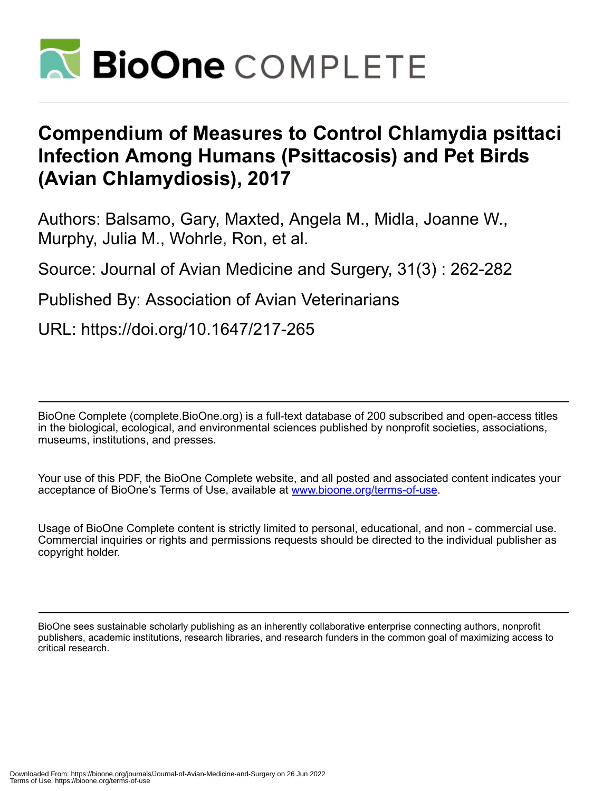

# **Compendium of Measures to Control Chlamydia psittaci Infection Among Humans (Psittacosis) and Pet Birds (Avian Chlamydiosis), 2017**

Authors: Balsamo, Gary, Maxted, Angela M., Midla, Joanne W., Murphy, Julia M., Wohrle, Ron, et al.

Source: Journal of Avian Medicine and Surgery, 31(3) : 262-282

Published By: Association of Avian Veterinarians

URL: https://doi.org/10.1647/217-265

BioOne Complete (complete.BioOne.org) is a full-text database of 200 subscribed and open-access titles in the biological, ecological, and environmental sciences published by nonprofit societies, associations, museums, institutions, and presses.

Your use of this PDF, the BioOne Complete website, and all posted and associated content indicates your acceptance of BioOne's Terms of Use, available at www.bioone.org/terms-of-use.

Usage of BioOne Complete content is strictly limited to personal, educational, and non - commercial use. Commercial inquiries or rights and permissions requests should be directed to the individual publisher as copyright holder.

BioOne sees sustainable scholarly publishing as an inherently collaborative enterprise connecting authors, nonprofit publishers, academic institutions, research libraries, and research funders in the common goal of maximizing access to critical research.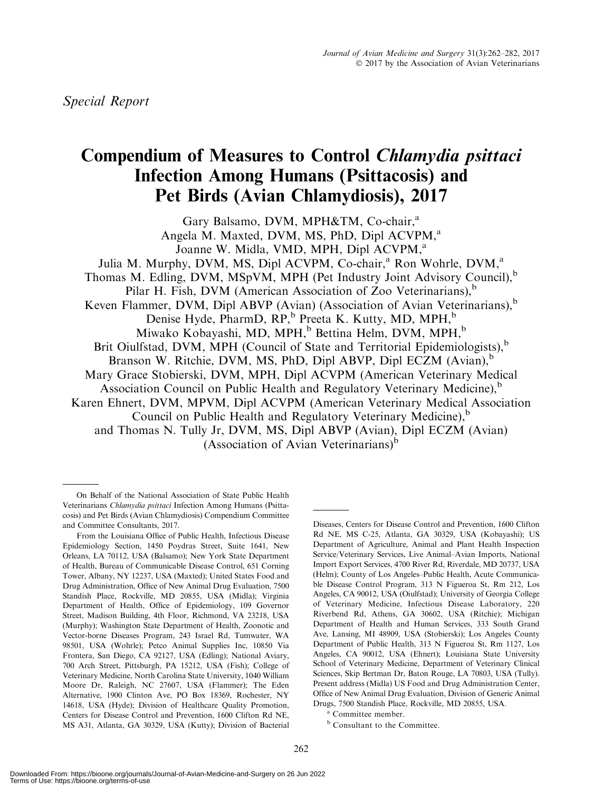## Compendium of Measures to Control Chlamydia psittaci Infection Among Humans (Psittacosis) and Pet Birds (Avian Chlamydiosis), 2017

Gary Balsamo, DVM, MPH&TM, Co-chair,<sup>a</sup> Angela M. Maxted, DVM, MS, PhD, Dipl ACVPM,<sup>a</sup> Joanne W. Midla, VMD, MPH, Dipl ACVPM,<sup>a</sup> Julia M. Murphy, DVM, MS, Dipl ACVPM, Co-chair,<sup>a</sup> Ron Wohrle, DVM,<sup>a</sup> Thomas M. Edling, DVM, MSpVM, MPH (Pet Industry Joint Advisory Council),<sup>b</sup> Pilar H. Fish, DVM (American Association of Zoo Veterinarians), $<sup>b</sup>$ </sup> Keven Flammer, DVM, Dipl ABVP (Avian) (Association of Avian Veterinarians), $<sup>b</sup>$ </sup> Denise Hyde, PharmD, RP,<sup>b</sup> Preeta K. Kutty, MD, MPH,<sup>b</sup> Miwako Kobayashi, MD, MPH,<sup>b</sup> Bettina Helm, DVM, MPH,<sup>b</sup> Brit Oiulfstad, DVM, MPH (Council of State and Territorial Epidemiologists), $<sup>b</sup>$ </sup> Branson W. Ritchie, DVM, MS, PhD, Dipl ABVP, Dipl ECZM (Avian),<sup>b</sup> Mary Grace Stobierski, DVM, MPH, Dipl ACVPM (American Veterinary Medical Association Council on Public Health and Regulatory Veterinary Medicine),<sup>b</sup> Karen Ehnert, DVM, MPVM, Dipl ACVPM (American Veterinary Medical Association Council on Public Health and Regulatory Veterinary Medicine),<sup>b</sup> and Thomas N. Tully Jr, DVM, MS, Dipl ABVP (Avian), Dipl ECZM (Avian) (Association of Avian Veterinarians) $<sup>b</sup>$ </sup>

Diseases, Centers for Disease Control and Prevention, 1600 Clifton Rd NE, MS C-25, Atlanta, GA 30329, USA (Kobayashi); US Department of Agriculture, Animal and Plant Health Inspection Service/Veterinary Services, Live Animal–Avian Imports, National Import Export Services, 4700 River Rd, Riverdale, MD 20737, USA (Helm); County of Los Angeles–Public Health, Acute Communicable Disease Control Program, 313 N Figueroa St, Rm 212, Los Angeles, CA 90012, USA (Oiulfstad); University of Georgia College of Veterinary Medicine, Infectious Disease Laboratory, 220 Riverbend Rd, Athens, GA 30602, USA (Ritchie); Michigan Department of Health and Human Services, 333 South Grand Ave, Lansing, MI 48909, USA (Stobierski); Los Angeles County Department of Public Health, 313 N Figueroa St, Rm 1127, Los Angeles, CA 90012, USA (Ehnert); Louisiana State University School of Veterinary Medicine, Department of Veterinary Clinical Sciences, Skip Bertman Dr, Baton Rouge, LA 70803, USA (Tully). Present address (Midla) US Food and Drug Administration Center, Office of New Animal Drug Evaluation, Division of Generic Animal Drugs, 7500 Standish Place, Rockville, MD 20855, USA.

**b** Consultant to the Committee.

On Behalf of the National Association of State Public Health Veterinarians Chlamydia psittaci Infection Among Humans (Psittacosis) and Pet Birds (Avian Chlamydiosis) Compendium Committee and Committee Consultants, 2017.

From the Louisiana Office of Public Health, Infectious Disease Epidemiology Section, 1450 Poydras Street, Suite 1641, New Orleans, LA 70112, USA (Balsamo); New York State Department of Health, Bureau of Communicable Disease Control, 651 Corning Tower, Albany, NY 12237, USA (Maxted); United States Food and Drug Administration, Office of New Animal Drug Evaluation, 7500 Standish Place, Rockville, MD 20855, USA (Midla); Virginia Department of Health, Office of Epidemiology, 109 Governor Street, Madison Building, 4th Floor, Richmond, VA 23218, USA (Murphy); Washington State Department of Health, Zoonotic and Vector-borne Diseases Program, 243 Israel Rd, Tumwater, WA 98501, USA (Wohrle); Petco Animal Supplies Inc, 10850 Via Frontera, San Diego, CA 92127, USA (Edling); National Aviary, 700 Arch Street, Pittsburgh, PA 15212, USA (Fish); College of Veterinary Medicine, North Carolina State University, 1040 William Moore Dr, Raleigh, NC 27607, USA (Flammer); The Eden Alternative, 1900 Clinton Ave, PO Box 18369, Rochester, NY 14618, USA (Hyde); Division of Healthcare Quality Promotion, Centers for Disease Control and Prevention, 1600 Clifton Rd NE, MS A31, Atlanta, GA 30329, USA (Kutty); Division of Bacterial

<sup>a</sup> Committee member.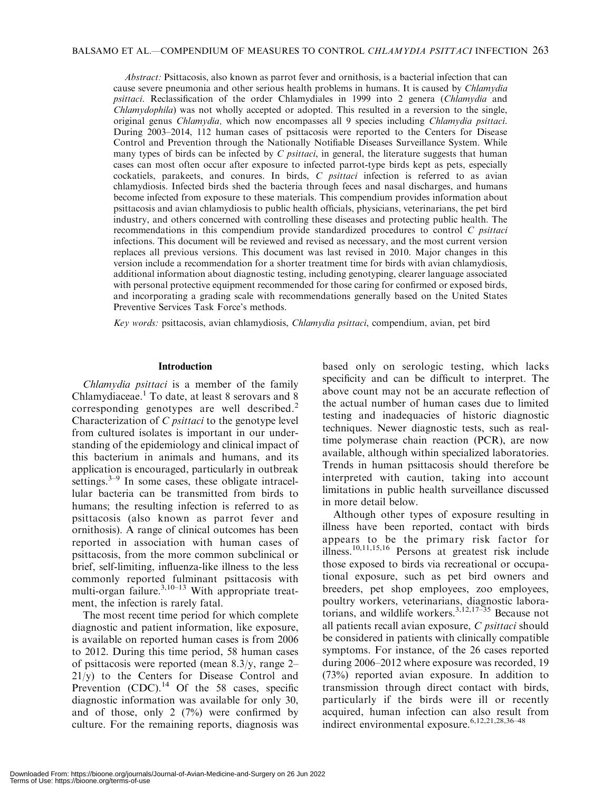Abstract: Psittacosis, also known as parrot fever and ornithosis, is a bacterial infection that can cause severe pneumonia and other serious health problems in humans. It is caused by *Chlamydia* psittaci. Reclassification of the order Chlamydiales in 1999 into 2 genera (Chlamydia and Chlamydophila) was not wholly accepted or adopted. This resulted in a reversion to the single, original genus Chlamydia, which now encompasses all 9 species including Chlamydia psittaci. During 2003–2014, 112 human cases of psittacosis were reported to the Centers for Disease Control and Prevention through the Nationally Notifiable Diseases Surveillance System. While many types of birds can be infected by  $C$  *psittaci*, in general, the literature suggests that human cases can most often occur after exposure to infected parrot-type birds kept as pets, especially cockatiels, parakeets, and conures. In birds, C psittaci infection is referred to as avian chlamydiosis. Infected birds shed the bacteria through feces and nasal discharges, and humans become infected from exposure to these materials. This compendium provides information about psittacosis and avian chlamydiosis to public health officials, physicians, veterinarians, the pet bird industry, and others concerned with controlling these diseases and protecting public health. The recommendations in this compendium provide standardized procedures to control C psittaci infections. This document will be reviewed and revised as necessary, and the most current version replaces all previous versions. This document was last revised in 2010. Major changes in this version include a recommendation for a shorter treatment time for birds with avian chlamydiosis, additional information about diagnostic testing, including genotyping, clearer language associated with personal protective equipment recommended for those caring for confirmed or exposed birds, and incorporating a grading scale with recommendations generally based on the United States Preventive Services Task Force's methods.

Key words: psittacosis, avian chlamydiosis, Chlamydia psittaci, compendium, avian, pet bird

#### Introduction

Chlamydia psittaci is a member of the family Chlamydiaceae.<sup>1</sup> To date, at least 8 serovars and 8 corresponding genotypes are well described.<sup>2</sup> Characterization of C psittaci to the genotype level from cultured isolates is important in our understanding of the epidemiology and clinical impact of this bacterium in animals and humans, and its application is encouraged, particularly in outbreak settings. $3-9$  In some cases, these obligate intracellular bacteria can be transmitted from birds to humans; the resulting infection is referred to as psittacosis (also known as parrot fever and ornithosis). A range of clinical outcomes has been reported in association with human cases of psittacosis, from the more common subclinical or brief, self-limiting, influenza-like illness to the less commonly reported fulminant psittacosis with multi-organ failure. $3,10-13$  With appropriate treatment, the infection is rarely fatal.

The most recent time period for which complete diagnostic and patient information, like exposure, is available on reported human cases is from 2006 to 2012. During this time period, 58 human cases of psittacosis were reported (mean 8.3/y, range 2– 21/y) to the Centers for Disease Control and Prevention  $(CDC)$ .<sup>14</sup> Of the 58 cases, specific diagnostic information was available for only 30, and of those, only 2 (7%) were confirmed by culture. For the remaining reports, diagnosis was

based only on serologic testing, which lacks specificity and can be difficult to interpret. The above count may not be an accurate reflection of the actual number of human cases due to limited testing and inadequacies of historic diagnostic techniques. Newer diagnostic tests, such as realtime polymerase chain reaction (PCR), are now available, although within specialized laboratories. Trends in human psittacosis should therefore be interpreted with caution, taking into account limitations in public health surveillance discussed in more detail below.

Although other types of exposure resulting in illness have been reported, contact with birds appears to be the primary risk factor for illness.10,11,15,16 Persons at greatest risk include those exposed to birds via recreational or occupational exposure, such as pet bird owners and breeders, pet shop employees, zoo employees, poultry workers, veterinarians, diagnostic laboratorians, and wildlife workers. $3,12,17-35$  Because not all patients recall avian exposure, C psittaci should be considered in patients with clinically compatible symptoms. For instance, of the 26 cases reported during 2006–2012 where exposure was recorded, 19 (73%) reported avian exposure. In addition to transmission through direct contact with birds, particularly if the birds were ill or recently acquired, human infection can also result from indirect environmental exposure.  $6,12,21,28,36-48$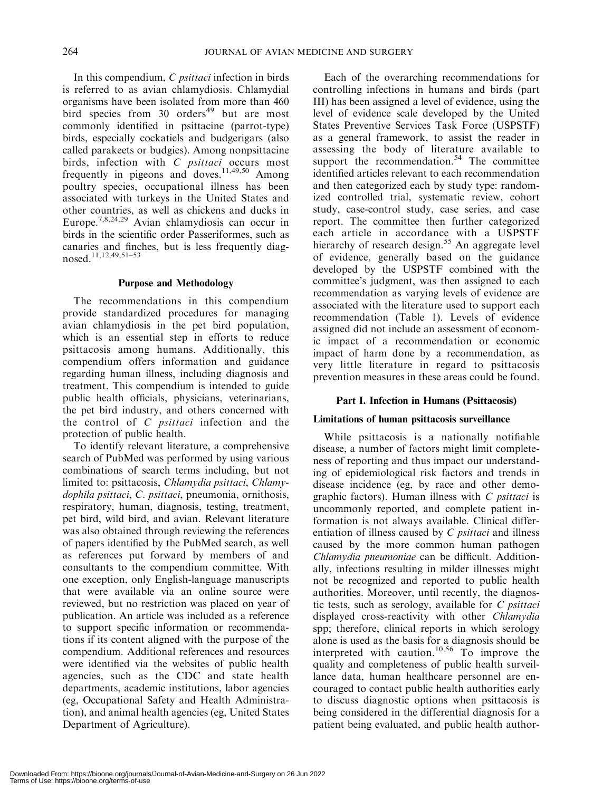In this compendium, C psittaci infection in birds is referred to as avian chlamydiosis. Chlamydial organisms have been isolated from more than 460 bird species from 30 orders<sup>49</sup> but are most commonly identified in psittacine (parrot-type) birds, especially cockatiels and budgerigars (also called parakeets or budgies). Among nonpsittacine birds, infection with C psittaci occurs most frequently in pigeons and doves.<sup>11,49,50</sup> Among poultry species, occupational illness has been associated with turkeys in the United States and other countries, as well as chickens and ducks in Europe.7,8,24,29 Avian chlamydiosis can occur in birds in the scientific order Passeriformes, such as canaries and finches, but is less frequently diagnosed.11,12,49,51–53

## Purpose and Methodology

The recommendations in this compendium provide standardized procedures for managing avian chlamydiosis in the pet bird population, which is an essential step in efforts to reduce psittacosis among humans. Additionally, this compendium offers information and guidance regarding human illness, including diagnosis and treatment. This compendium is intended to guide public health officials, physicians, veterinarians, the pet bird industry, and others concerned with the control of  $C$  *psittaci* infection and the protection of public health.

To identify relevant literature, a comprehensive search of PubMed was performed by using various combinations of search terms including, but not limited to: psittacosis, Chlamydia psittaci, Chlamydophila psittaci, C. psittaci, pneumonia, ornithosis, respiratory, human, diagnosis, testing, treatment, pet bird, wild bird, and avian. Relevant literature was also obtained through reviewing the references of papers identified by the PubMed search, as well as references put forward by members of and consultants to the compendium committee. With one exception, only English-language manuscripts that were available via an online source were reviewed, but no restriction was placed on year of publication. An article was included as a reference to support specific information or recommendations if its content aligned with the purpose of the compendium. Additional references and resources were identified via the websites of public health agencies, such as the CDC and state health departments, academic institutions, labor agencies (eg, Occupational Safety and Health Administration), and animal health agencies (eg, United States Department of Agriculture).

Each of the overarching recommendations for controlling infections in humans and birds (part III) has been assigned a level of evidence, using the level of evidence scale developed by the United States Preventive Services Task Force (USPSTF) as a general framework, to assist the reader in assessing the body of literature available to support the recommendation. $54$  The committee identified articles relevant to each recommendation and then categorized each by study type: randomized controlled trial, systematic review, cohort study, case-control study, case series, and case report. The committee then further categorized each article in accordance with a USPSTF hierarchy of research design.<sup>55</sup> An aggregate level of evidence, generally based on the guidance developed by the USPSTF combined with the committee's judgment, was then assigned to each recommendation as varying levels of evidence are associated with the literature used to support each recommendation (Table 1). Levels of evidence assigned did not include an assessment of economic impact of a recommendation or economic impact of harm done by a recommendation, as very little literature in regard to psittacosis prevention measures in these areas could be found.

## Part I. Infection in Humans (Psittacosis)

## Limitations of human psittacosis surveillance

While psittacosis is a nationally notifiable disease, a number of factors might limit completeness of reporting and thus impact our understanding of epidemiological risk factors and trends in disease incidence (eg, by race and other demographic factors). Human illness with C psittaci is uncommonly reported, and complete patient information is not always available. Clinical differentiation of illness caused by  $C$  *psittaci* and illness caused by the more common human pathogen Chlamydia pneumoniae can be difficult. Additionally, infections resulting in milder illnesses might not be recognized and reported to public health authorities. Moreover, until recently, the diagnostic tests, such as serology, available for C psittaci displayed cross-reactivity with other Chlamydia spp; therefore, clinical reports in which serology alone is used as the basis for a diagnosis should be interpreted with caution.<sup>10,56</sup> To improve the quality and completeness of public health surveillance data, human healthcare personnel are encouraged to contact public health authorities early to discuss diagnostic options when psittacosis is being considered in the differential diagnosis for a patient being evaluated, and public health author-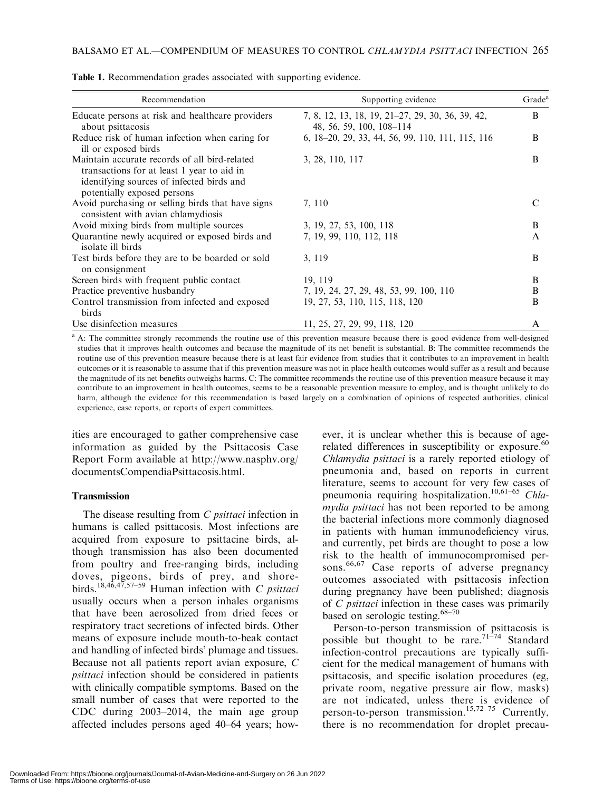| Recommendation                                                                                                                                                          | Supporting evidence                                                          | Grade <sup>a</sup> |
|-------------------------------------------------------------------------------------------------------------------------------------------------------------------------|------------------------------------------------------------------------------|--------------------|
| Educate persons at risk and healthcare providers<br>about psittacosis                                                                                                   | 7, 8, 12, 13, 18, 19, 21–27, 29, 30, 36, 39, 42,<br>48, 56, 59, 100, 108–114 | B                  |
| Reduce risk of human infection when caring for<br>ill or exposed birds                                                                                                  | 6, 18–20, 29, 33, 44, 56, 99, 110, 111, 115, 116                             | B                  |
| Maintain accurate records of all bird-related<br>transactions for at least 1 year to aid in<br>identifying sources of infected birds and<br>potentially exposed persons | 3, 28, 110, 117                                                              | B                  |
| Avoid purchasing or selling birds that have signs<br>consistent with avian chlamydiosis                                                                                 | 7, 110                                                                       | C                  |
| Avoid mixing birds from multiple sources                                                                                                                                | 3, 19, 27, 53, 100, 118                                                      | B                  |
| Quarantine newly acquired or exposed birds and<br>isolate ill birds                                                                                                     | 7, 19, 99, 110, 112, 118                                                     | $\mathsf{A}$       |
| Test birds before they are to be boarded or sold<br>on consignment                                                                                                      | 3, 119                                                                       | B                  |
| Screen birds with frequent public contact                                                                                                                               | 19, 119                                                                      | B                  |
| Practice preventive husbandry                                                                                                                                           | 7, 19, 24, 27, 29, 48, 53, 99, 100, 110                                      | B                  |
| Control transmission from infected and exposed<br>birds                                                                                                                 | 19, 27, 53, 110, 115, 118, 120                                               | B                  |
| Use disinfection measures                                                                                                                                               | 11, 25, 27, 29, 99, 118, 120                                                 | A                  |

Table 1. Recommendation grades associated with supporting evidence.

<sup>a</sup> A: The committee strongly recommends the routine use of this prevention measure because there is good evidence from well-designed studies that it improves health outcomes and because the magnitude of its net benefit is substantial. B: The committee recommends the routine use of this prevention measure because there is at least fair evidence from studies that it contributes to an improvement in health outcomes or it is reasonable to assume that if this prevention measure was not in place health outcomes would suffer as a result and because the magnitude of its net benefits outweighs harms. C: The committee recommends the routine use of this prevention measure because it may contribute to an improvement in health outcomes, seems to be a reasonable prevention measure to employ, and is thought unlikely to do harm, although the evidence for this recommendation is based largely on a combination of opinions of respected authorities, clinical experience, case reports, or reports of expert committees.

ities are encouraged to gather comprehensive case information as guided by the Psittacosis Case Report Form available at http://www.nasphv.org/ documentsCompendiaPsittacosis.html.

## Transmission

The disease resulting from C *psittaci* infection in humans is called psittacosis. Most infections are acquired from exposure to psittacine birds, although transmission has also been documented from poultry and free-ranging birds, including doves, pigeons, birds of prey, and shorebirds.<sup>18,46,47,57–59</sup> Human infection with C psittaci usually occurs when a person inhales organisms that have been aerosolized from dried feces or respiratory tract secretions of infected birds. Other means of exposure include mouth-to-beak contact and handling of infected birds' plumage and tissues. Because not all patients report avian exposure, C psittaci infection should be considered in patients with clinically compatible symptoms. Based on the small number of cases that were reported to the CDC during 2003–2014, the main age group affected includes persons aged 40–64 years; however, it is unclear whether this is because of agerelated differences in susceptibility or exposure.<sup>60</sup> Chlamydia psittaci is a rarely reported etiology of pneumonia and, based on reports in current literature, seems to account for very few cases of pneumonia requiring hospitalization.10,61–65 Chlamydia psittaci has not been reported to be among the bacterial infections more commonly diagnosed in patients with human immunodeficiency virus, and currently, pet birds are thought to pose a low risk to the health of immunocompromised persons.<sup>66,67</sup> Case reports of adverse pregnancy outcomes associated with psittacosis infection during pregnancy have been published; diagnosis of C psittaci infection in these cases was primarily based on serologic testing.<sup>68-70</sup>

Person-to-person transmission of psittacosis is possible but thought to be rare.<sup>71-74</sup> Standard infection-control precautions are typically sufficient for the medical management of humans with psittacosis, and specific isolation procedures (eg, private room, negative pressure air flow, masks) are not indicated, unless there is evidence of person-to-person transmission.<sup>15,72–75</sup> Currently, there is no recommendation for droplet precau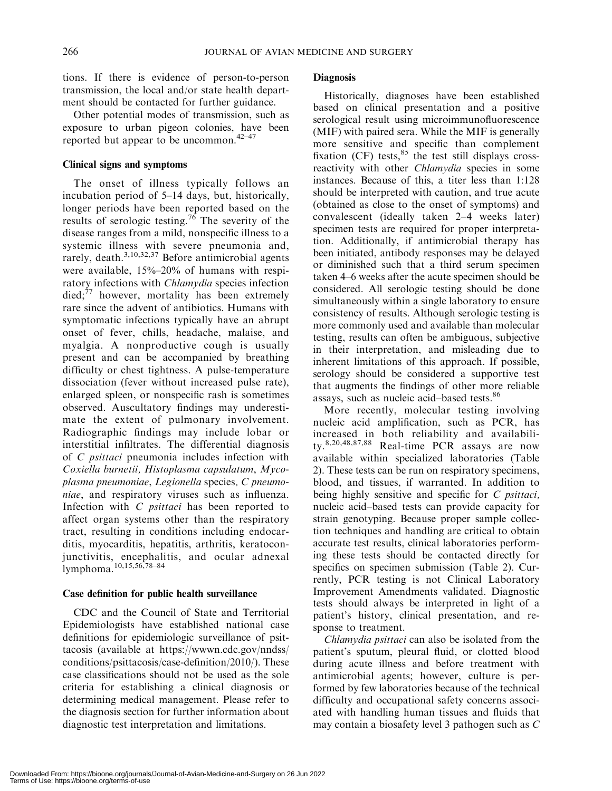tions. If there is evidence of person-to-person transmission, the local and/or state health department should be contacted for further guidance.

Other potential modes of transmission, such as exposure to urban pigeon colonies, have been reported but appear to be uncommon.42–47

#### Clinical signs and symptoms

The onset of illness typically follows an incubation period of 5–14 days, but, historically, longer periods have been reported based on the results of serologic testing.<sup>76</sup> The severity of the disease ranges from a mild, nonspecific illness to a systemic illness with severe pneumonia and, rarely, death.<sup>3,10,32,37</sup> Before antimicrobial agents were available, 15%–20% of humans with respiratory infections with *Chlamydia* species infection  $\text{died};^{77}$  however, mortality has been extremely rare since the advent of antibiotics. Humans with symptomatic infections typically have an abrupt onset of fever, chills, headache, malaise, and myalgia. A nonproductive cough is usually present and can be accompanied by breathing difficulty or chest tightness. A pulse-temperature dissociation (fever without increased pulse rate), enlarged spleen, or nonspecific rash is sometimes observed. Auscultatory findings may underestimate the extent of pulmonary involvement. Radiographic findings may include lobar or interstitial infiltrates. The differential diagnosis of C psittaci pneumonia includes infection with Coxiella burnetii, Histoplasma capsulatum, Mycoplasma pneumoniae, Legionella species, C pneumoniae, and respiratory viruses such as influenza. Infection with C psittaci has been reported to affect organ systems other than the respiratory tract, resulting in conditions including endocarditis, myocarditis, hepatitis, arthritis, keratoconjunctivitis, encephalitis, and ocular adnexal lymphoma.10,15,56,78–84

## Case definition for public health surveillance

CDC and the Council of State and Territorial Epidemiologists have established national case definitions for epidemiologic surveillance of psittacosis (available at https://wwwn.cdc.gov/nndss/ conditions/psittacosis/case-definition/2010/). These case classifications should not be used as the sole criteria for establishing a clinical diagnosis or determining medical management. Please refer to the diagnosis section for further information about diagnostic test interpretation and limitations.

## **Diagnosis**

Historically, diagnoses have been established based on clinical presentation and a positive serological result using microimmunofluorescence (MIF) with paired sera. While the MIF is generally more sensitive and specific than complement fixation (CF) tests,  $85$  the test still displays crossreactivity with other *Chlamydia* species in some instances. Because of this, a titer less than 1:128 should be interpreted with caution, and true acute (obtained as close to the onset of symptoms) and convalescent (ideally taken 2–4 weeks later) specimen tests are required for proper interpretation. Additionally, if antimicrobial therapy has been initiated, antibody responses may be delayed or diminished such that a third serum specimen taken 4–6 weeks after the acute specimen should be considered. All serologic testing should be done simultaneously within a single laboratory to ensure consistency of results. Although serologic testing is more commonly used and available than molecular testing, results can often be ambiguous, subjective in their interpretation, and misleading due to inherent limitations of this approach. If possible, serology should be considered a supportive test that augments the findings of other more reliable assays, such as nucleic acid–based tests.<sup>86</sup>

More recently, molecular testing involving nucleic acid amplification, such as PCR, has increased in both reliability and availability. $8,20,48,87,88$  Real-time PCR assays are now available within specialized laboratories (Table 2). These tests can be run on respiratory specimens, blood, and tissues, if warranted. In addition to being highly sensitive and specific for C *psittaci*, nucleic acid–based tests can provide capacity for strain genotyping. Because proper sample collection techniques and handling are critical to obtain accurate test results, clinical laboratories performing these tests should be contacted directly for specifics on specimen submission (Table 2). Currently, PCR testing is not Clinical Laboratory Improvement Amendments validated. Diagnostic tests should always be interpreted in light of a patient's history, clinical presentation, and response to treatment.

Chlamydia psittaci can also be isolated from the patient's sputum, pleural fluid, or clotted blood during acute illness and before treatment with antimicrobial agents; however, culture is performed by few laboratories because of the technical difficulty and occupational safety concerns associated with handling human tissues and fluids that may contain a biosafety level 3 pathogen such as C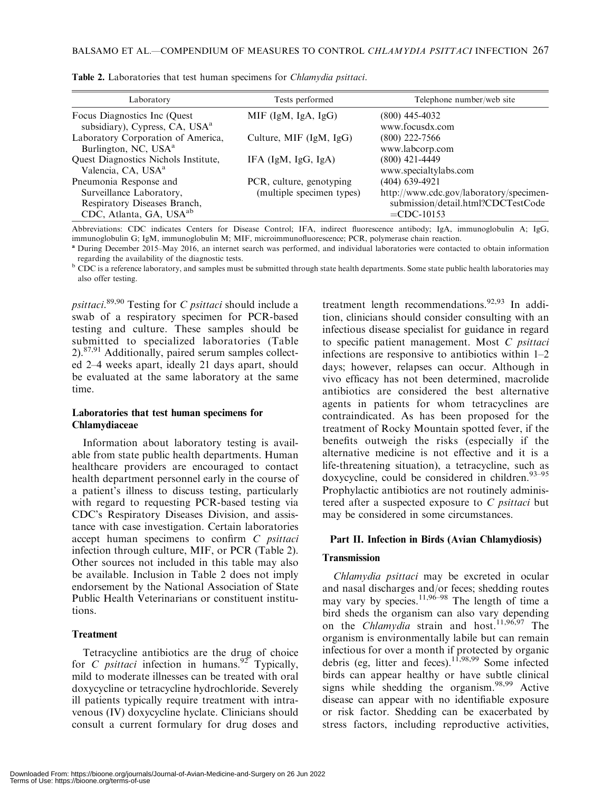| Laboratory                                                                                                                | Tests performed                                       | Telephone number/web site                                                                                        |
|---------------------------------------------------------------------------------------------------------------------------|-------------------------------------------------------|------------------------------------------------------------------------------------------------------------------|
| Focus Diagnostics Inc (Quest)<br>subsidiary), Cypress, CA, USA <sup>a</sup>                                               | MIF (IgM, IgA, IgG)                                   | (800) 445-4032<br>www.focusdx.com                                                                                |
| Laboratory Corporation of America,<br>Burlington, NC, USA <sup>a</sup>                                                    | Culture, MIF $(IgM, IgG)$                             | $(800)$ 222-7566<br>www.labcorp.com                                                                              |
| Quest Diagnostics Nichols Institute,<br>Valencia, CA, USA <sup>a</sup>                                                    | IFA $(IgM, IgG, IgA)$                                 | $(800)$ 421-4449<br>www.specialtylabs.com                                                                        |
| Pneumonia Response and<br>Surveillance Laboratory,<br>Respiratory Diseases Branch,<br>CDC, Atlanta, GA, USA <sup>ab</sup> | PCR, culture, genotyping<br>(multiple specimen types) | (404) 639-4921<br>http://www.cdc.gov/laboratory/specimen-<br>submission/detail.html?CDCTestCode<br>$=$ CDC-10153 |

Table 2. Laboratories that test human specimens for Chlamydia psittaci.

Abbreviations: CDC indicates Centers for Disease Control; IFA, indirect fluorescence antibody; IgA, immunoglobulin A; IgG, immunoglobulin G; IgM, immunoglobulin M; MIF, microimmunofluorescence; PCR, polymerase chain reaction.

<sup>a</sup> During December 2015–May 2016, an internet search was performed, and individual laboratories were contacted to obtain information regarding the availability of the diagnostic tests.

b CDC is a reference laboratory, and samples must be submitted through state health departments. Some state public health laboratories may also offer testing.

psittaci.<sup>89,90</sup> Testing for C psittaci should include a swab of a respiratory specimen for PCR-based testing and culture. These samples should be submitted to specialized laboratories (Table  $2)$ <sup>87,91</sup> Additionally, paired serum samples collected 2–4 weeks apart, ideally 21 days apart, should be evaluated at the same laboratory at the same time.

#### Laboratories that test human specimens for Chlamydiaceae

Information about laboratory testing is available from state public health departments. Human healthcare providers are encouraged to contact health department personnel early in the course of a patient's illness to discuss testing, particularly with regard to requesting PCR-based testing via CDC's Respiratory Diseases Division, and assistance with case investigation. Certain laboratories accept human specimens to confirm C psittaci infection through culture, MIF, or PCR (Table 2). Other sources not included in this table may also be available. Inclusion in Table 2 does not imply endorsement by the National Association of State Public Health Veterinarians or constituent institutions.

## Treatment

Tetracycline antibiotics are the drug of choice for C *psittaci* infection in humans.<sup>92</sup> Typically, mild to moderate illnesses can be treated with oral doxycycline or tetracycline hydrochloride. Severely ill patients typically require treatment with intravenous (IV) doxycycline hyclate. Clinicians should consult a current formulary for drug doses and

treatment length recommendations.<sup>92,93</sup> In addition, clinicians should consider consulting with an infectious disease specialist for guidance in regard to specific patient management. Most C psittaci infections are responsive to antibiotics within 1–2 days; however, relapses can occur. Although in vivo efficacy has not been determined, macrolide antibiotics are considered the best alternative agents in patients for whom tetracyclines are contraindicated. As has been proposed for the treatment of Rocky Mountain spotted fever, if the benefits outweigh the risks (especially if the alternative medicine is not effective and it is a life-threatening situation), a tetracycline, such as doxycycline, could be considered in children.<sup>93-95</sup> Prophylactic antibiotics are not routinely administered after a suspected exposure to  $C$  *psittaci* but may be considered in some circumstances.

## Part II. Infection in Birds (Avian Chlamydiosis)

## **Transmission**

Chlamydia psittaci may be excreted in ocular and nasal discharges and/or feces; shedding routes may vary by species.<sup>11,96–98</sup> The length of time a bird sheds the organism can also vary depending on the Chlamydia strain and host.<sup>11,96,97</sup> The organism is environmentally labile but can remain infectious for over a month if protected by organic debris (eg, litter and feces).11,98,99 Some infected birds can appear healthy or have subtle clinical signs while shedding the organism. $98,99$  Active disease can appear with no identifiable exposure or risk factor. Shedding can be exacerbated by stress factors, including reproductive activities,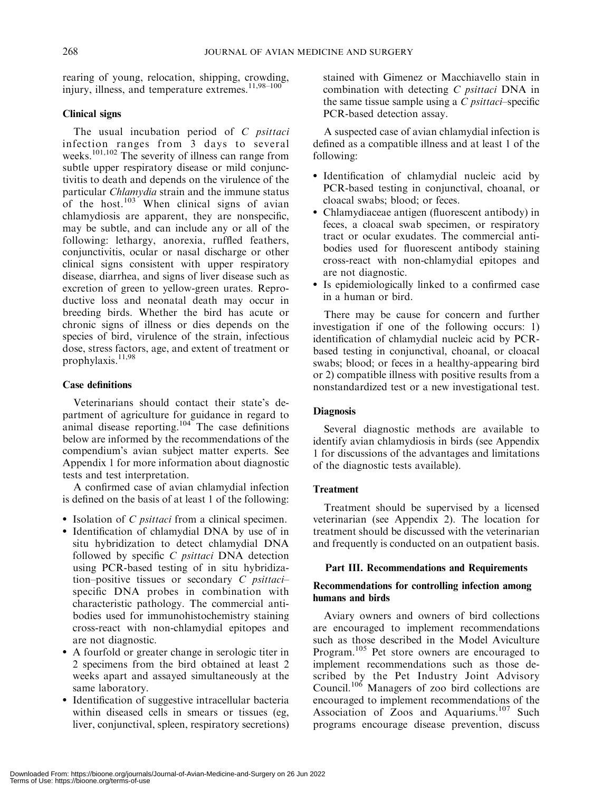rearing of young, relocation, shipping, crowding, injury, illness, and temperature extremes. $11,98-100$ 

## Clinical signs

The usual incubation period of  $C$  *psittaci* infection ranges from 3 days to several weeks.<sup>101,102</sup> The severity of illness can range from subtle upper respiratory disease or mild conjunctivitis to death and depends on the virulence of the particular Chlamydia strain and the immune status of the host.<sup>103</sup> When clinical signs of avian chlamydiosis are apparent, they are nonspecific, may be subtle, and can include any or all of the following: lethargy, anorexia, ruffled feathers, conjunctivitis, ocular or nasal discharge or other clinical signs consistent with upper respiratory disease, diarrhea, and signs of liver disease such as excretion of green to yellow-green urates. Reproductive loss and neonatal death may occur in breeding birds. Whether the bird has acute or chronic signs of illness or dies depends on the species of bird, virulence of the strain, infectious dose, stress factors, age, and extent of treatment or prophylaxis.<sup>11,98</sup>

## Case definitions

Veterinarians should contact their state's department of agriculture for guidance in regard to animal disease reporting.<sup>104</sup> The case definitions below are informed by the recommendations of the compendium's avian subject matter experts. See Appendix 1 for more information about diagnostic tests and test interpretation.

A confirmed case of avian chlamydial infection is defined on the basis of at least 1 of the following:

- Isolation of *C psittaci* from a clinical specimen.
- Identification of chlamydial DNA by use of in situ hybridization to detect chlamydial DNA followed by specific C psittaci DNA detection using PCR-based testing of in situ hybridization–positive tissues or secondary  $C$  *psittaci*– specific DNA probes in combination with characteristic pathology. The commercial antibodies used for immunohistochemistry staining cross-react with non-chlamydial epitopes and are not diagnostic.
- A fourfold or greater change in serologic titer in 2 specimens from the bird obtained at least 2 weeks apart and assayed simultaneously at the same laboratory.
- Identification of suggestive intracellular bacteria within diseased cells in smears or tissues (eg, liver, conjunctival, spleen, respiratory secretions)

stained with Gimenez or Macchiavello stain in combination with detecting C psittaci DNA in the same tissue sample using a  $C$  *psittaci*–specific PCR-based detection assay.

A suspected case of avian chlamydial infection is defined as a compatible illness and at least 1 of the following:

- Identification of chlamydial nucleic acid by PCR-based testing in conjunctival, choanal, or cloacal swabs; blood; or feces.
- Chlamydiaceae antigen (fluorescent antibody) in feces, a cloacal swab specimen, or respiratory tract or ocular exudates. The commercial antibodies used for fluorescent antibody staining cross-react with non-chlamydial epitopes and are not diagnostic.
- Is epidemiologically linked to a confirmed case in a human or bird.

There may be cause for concern and further investigation if one of the following occurs: 1) identification of chlamydial nucleic acid by PCRbased testing in conjunctival, choanal, or cloacal swabs; blood; or feces in a healthy-appearing bird or 2) compatible illness with positive results from a nonstandardized test or a new investigational test.

## **Diagnosis**

Several diagnostic methods are available to identify avian chlamydiosis in birds (see Appendix 1 for discussions of the advantages and limitations of the diagnostic tests available).

## Treatment

Treatment should be supervised by a licensed veterinarian (see Appendix 2). The location for treatment should be discussed with the veterinarian and frequently is conducted on an outpatient basis.

## Part III. Recommendations and Requirements

## Recommendations for controlling infection among humans and birds

Aviary owners and owners of bird collections are encouraged to implement recommendations such as those described in the Model Aviculture Program.<sup>105</sup> Pet store owners are encouraged to implement recommendations such as those described by the Pet Industry Joint Advisory Council.106 Managers of zoo bird collections are encouraged to implement recommendations of the Association of Zoos and Aquariums.<sup>107</sup> Such programs encourage disease prevention, discuss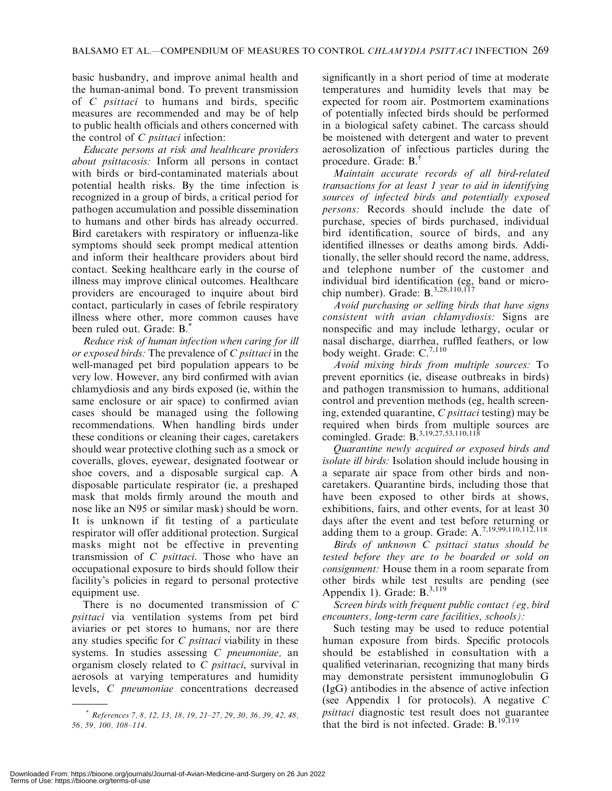basic husbandry, and improve animal health and the human-animal bond. To prevent transmission of C psittaci to humans and birds, specific measures are recommended and may be of help to public health officials and others concerned with the control of  $C$  *psittaci* infection:

Educate persons at risk and healthcare providers about psittacosis: Inform all persons in contact with birds or bird-contaminated materials about potential health risks. By the time infection is recognized in a group of birds, a critical period for pathogen accumulation and possible dissemination to humans and other birds has already occurred. Bird caretakers with respiratory or influenza-like symptoms should seek prompt medical attention and inform their healthcare providers about bird contact. Seeking healthcare early in the course of illness may improve clinical outcomes. Healthcare providers are encouraged to inquire about bird contact, particularly in cases of febrile respiratory illness where other, more common causes have been ruled out. Grade: B.\*

Reduce risk of human infection when caring for ill or exposed birds: The prevalence of C psittaci in the well-managed pet bird population appears to be very low. However, any bird confirmed with avian chlamydiosis and any birds exposed (ie, within the same enclosure or air space) to confirmed avian cases should be managed using the following recommendations. When handling birds under these conditions or cleaning their cages, caretakers should wear protective clothing such as a smock or coveralls, gloves, eyewear, designated footwear or shoe covers, and a disposable surgical cap. A disposable particulate respirator (ie, a preshaped mask that molds firmly around the mouth and nose like an N95 or similar mask) should be worn. It is unknown if fit testing of a particulate respirator will offer additional protection. Surgical masks might not be effective in preventing transmission of C psittaci. Those who have an occupational exposure to birds should follow their facility's policies in regard to personal protective equipment use.

There is no documented transmission of C psittaci via ventilation systems from pet bird aviaries or pet stores to humans, nor are there any studies specific for  $C$  *psittaci* viability in these systems. In studies assessing C pneumoniae, an organism closely related to C psittaci, survival in aerosols at varying temperatures and humidity levels, C pneumoniae concentrations decreased

significantly in a short period of time at moderate temperatures and humidity levels that may be expected for room air. Postmortem examinations of potentially infected birds should be performed in a biological safety cabinet. The carcass should be moistened with detergent and water to prevent aerosolization of infectious particles during the procedure. Grade: B.†

Maintain accurate records of all bird-related transactions for at least 1 year to aid in identifying sources of infected birds and potentially exposed persons: Records should include the date of purchase, species of birds purchased, individual bird identification, source of birds, and any identified illnesses or deaths among birds. Additionally, the seller should record the name, address, and telephone number of the customer and individual bird identification (eg, band or microchip number). Grade: B.<sup>3,28,110,117</sup>

Avoid purchasing or selling birds that have signs consistent with avian chlamydiosis: Signs are nonspecific and may include lethargy, ocular or nasal discharge, diarrhea, ruffled feathers, or low body weight. Grade: C.<sup>7,110</sup>

Avoid mixing birds from multiple sources: To prevent epornitics (ie, disease outbreaks in birds) and pathogen transmission to humans, additional control and prevention methods (eg, health screening, extended quarantine, C psittaci testing) may be required when birds from multiple sources are comingled. Grade: B.<sup>3,19,27,53,110,118</sup>

Quarantine newly acquired or exposed birds and isolate ill birds: Isolation should include housing in a separate air space from other birds and noncaretakers. Quarantine birds, including those that have been exposed to other birds at shows, exhibitions, fairs, and other events, for at least 30 days after the event and test before returning or adding them to a group. Grade:  $A^{7,19,99,110,112,118}_{\dots}$ 

Birds of unknown C psittaci status should be tested before they are to be boarded or sold on consignment: House them in a room separate from other birds while test results are pending (see Appendix 1). Grade:  $B^{3,119}$ 

Screen birds with frequent public contact (eg, bird encounters, long-term care facilities, schools):

Such testing may be used to reduce potential human exposure from birds. Specific protocols should be established in consultation with a qualified veterinarian, recognizing that many birds may demonstrate persistent immunoglobulin G (IgG) antibodies in the absence of active infection (see Appendix 1 for protocols). A negative C psittaci diagnostic test result does not guarantee that the bird is not infected. Grade:  $B$ ,  $19,119$ 

<sup>\*</sup> References 7, 8, 12, 13, 18, 19, 21–27, 29, 30, 36, 39, 42, 48, 56, 59, 100, 108–114.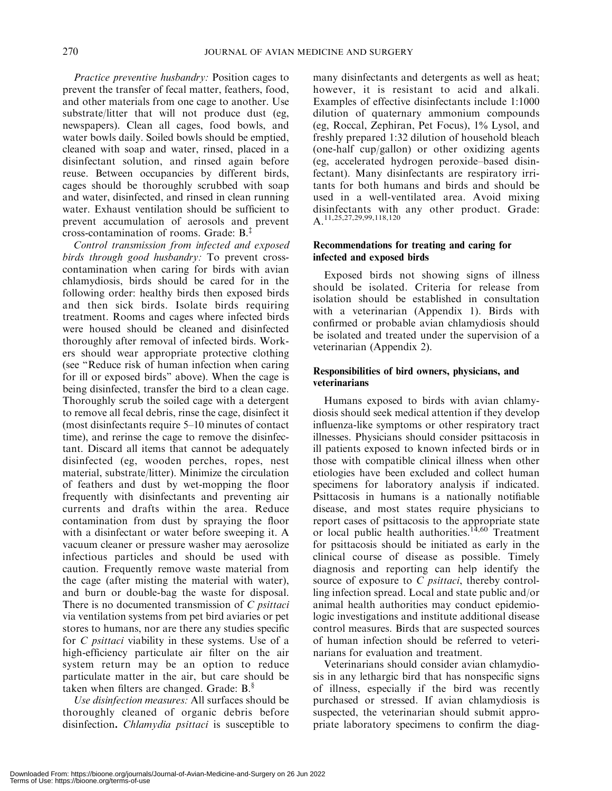Practice preventive husbandry: Position cages to prevent the transfer of fecal matter, feathers, food, and other materials from one cage to another. Use substrate/litter that will not produce dust (eg, newspapers). Clean all cages, food bowls, and water bowls daily. Soiled bowls should be emptied, cleaned with soap and water, rinsed, placed in a disinfectant solution, and rinsed again before reuse. Between occupancies by different birds, cages should be thoroughly scrubbed with soap and water, disinfected, and rinsed in clean running water. Exhaust ventilation should be sufficient to prevent accumulation of aerosols and prevent cross-contamination of rooms. Grade: B.‡

Control transmission from infected and exposed birds through good husbandry: To prevent crosscontamination when caring for birds with avian chlamydiosis, birds should be cared for in the following order: healthy birds then exposed birds and then sick birds. Isolate birds requiring treatment. Rooms and cages where infected birds were housed should be cleaned and disinfected thoroughly after removal of infected birds. Workers should wear appropriate protective clothing (see ''Reduce risk of human infection when caring for ill or exposed birds'' above). When the cage is being disinfected, transfer the bird to a clean cage. Thoroughly scrub the soiled cage with a detergent to remove all fecal debris, rinse the cage, disinfect it (most disinfectants require 5–10 minutes of contact time), and rerinse the cage to remove the disinfectant. Discard all items that cannot be adequately disinfected (eg, wooden perches, ropes, nest material, substrate/litter). Minimize the circulation of feathers and dust by wet-mopping the floor frequently with disinfectants and preventing air currents and drafts within the area. Reduce contamination from dust by spraying the floor with a disinfectant or water before sweeping it. A vacuum cleaner or pressure washer may aerosolize infectious particles and should be used with caution. Frequently remove waste material from the cage (after misting the material with water), and burn or double-bag the waste for disposal. There is no documented transmission of C *psittaci* via ventilation systems from pet bird aviaries or pet stores to humans, nor are there any studies specific for *C psittaci* viability in these systems. Use of a high-efficiency particulate air filter on the air system return may be an option to reduce particulate matter in the air, but care should be taken when filters are changed. Grade: B.<sup>§</sup>

Use disinfection measures: All surfaces should be thoroughly cleaned of organic debris before disinfection. Chlamydia psittaci is susceptible to

many disinfectants and detergents as well as heat; however, it is resistant to acid and alkali. Examples of effective disinfectants include 1:1000 dilution of quaternary ammonium compounds (eg, Roccal, Zephiran, Pet Focus), 1% Lysol, and freshly prepared 1:32 dilution of household bleach (one-half cup/gallon) or other oxidizing agents (eg, accelerated hydrogen peroxide–based disinfectant). Many disinfectants are respiratory irritants for both humans and birds and should be used in a well-ventilated area. Avoid mixing disinfectants with any other product. Grade: A.11,25,27,29,99,118,120

## Recommendations for treating and caring for infected and exposed birds

Exposed birds not showing signs of illness should be isolated. Criteria for release from isolation should be established in consultation with a veterinarian (Appendix 1). Birds with confirmed or probable avian chlamydiosis should be isolated and treated under the supervision of a veterinarian (Appendix 2).

## Responsibilities of bird owners, physicians, and veterinarians

Humans exposed to birds with avian chlamydiosis should seek medical attention if they develop influenza-like symptoms or other respiratory tract illnesses. Physicians should consider psittacosis in ill patients exposed to known infected birds or in those with compatible clinical illness when other etiologies have been excluded and collect human specimens for laboratory analysis if indicated. Psittacosis in humans is a nationally notifiable disease, and most states require physicians to report cases of psittacosis to the appropriate state or local public health authorities.<sup>14,60</sup> Treatment for psittacosis should be initiated as early in the clinical course of disease as possible. Timely diagnosis and reporting can help identify the source of exposure to C *psittaci*, thereby controlling infection spread. Local and state public and/or animal health authorities may conduct epidemiologic investigations and institute additional disease control measures. Birds that are suspected sources of human infection should be referred to veterinarians for evaluation and treatment.

Veterinarians should consider avian chlamydiosis in any lethargic bird that has nonspecific signs of illness, especially if the bird was recently purchased or stressed. If avian chlamydiosis is suspected, the veterinarian should submit appropriate laboratory specimens to confirm the diag-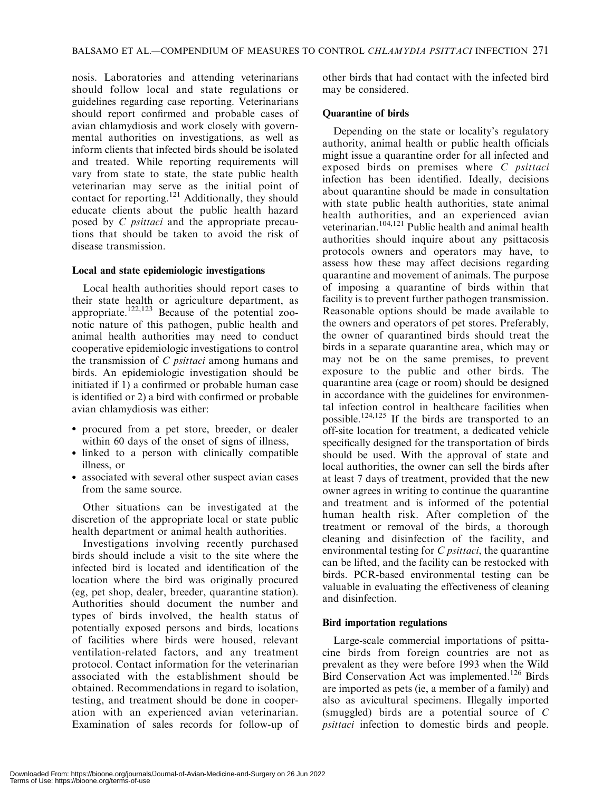nosis. Laboratories and attending veterinarians should follow local and state regulations or guidelines regarding case reporting. Veterinarians should report confirmed and probable cases of avian chlamydiosis and work closely with governmental authorities on investigations, as well as inform clients that infected birds should be isolated and treated. While reporting requirements will vary from state to state, the state public health veterinarian may serve as the initial point of contact for reporting.<sup>121</sup> Additionally, they should educate clients about the public health hazard posed by C psittaci and the appropriate precautions that should be taken to avoid the risk of disease transmission.

## Local and state epidemiologic investigations

Local health authorities should report cases to their state health or agriculture department, as appropriate.<sup>122,123</sup> Because of the potential zoonotic nature of this pathogen, public health and animal health authorities may need to conduct cooperative epidemiologic investigations to control the transmission of C psittaci among humans and birds. An epidemiologic investigation should be initiated if 1) a confirmed or probable human case is identified or 2) a bird with confirmed or probable avian chlamydiosis was either:

- procured from a pet store, breeder, or dealer within 60 days of the onset of signs of illness,
- linked to a person with clinically compatible illness, or
- associated with several other suspect avian cases from the same source.

Other situations can be investigated at the discretion of the appropriate local or state public health department or animal health authorities.

Investigations involving recently purchased birds should include a visit to the site where the infected bird is located and identification of the location where the bird was originally procured (eg, pet shop, dealer, breeder, quarantine station). Authorities should document the number and types of birds involved, the health status of potentially exposed persons and birds, locations of facilities where birds were housed, relevant ventilation-related factors, and any treatment protocol. Contact information for the veterinarian associated with the establishment should be obtained. Recommendations in regard to isolation, testing, and treatment should be done in cooperation with an experienced avian veterinarian. Examination of sales records for follow-up of other birds that had contact with the infected bird may be considered.

## Quarantine of birds

Depending on the state or locality's regulatory authority, animal health or public health officials might issue a quarantine order for all infected and exposed birds on premises where C *psittaci* infection has been identified. Ideally, decisions about quarantine should be made in consultation with state public health authorities, state animal health authorities, and an experienced avian veterinarian.104,121 Public health and animal health authorities should inquire about any psittacosis protocols owners and operators may have, to assess how these may affect decisions regarding quarantine and movement of animals. The purpose of imposing a quarantine of birds within that facility is to prevent further pathogen transmission. Reasonable options should be made available to the owners and operators of pet stores. Preferably, the owner of quarantined birds should treat the birds in a separate quarantine area, which may or may not be on the same premises, to prevent exposure to the public and other birds. The quarantine area (cage or room) should be designed in accordance with the guidelines for environmental infection control in healthcare facilities when possible.<sup>124,125</sup> If the birds are transported to an off-site location for treatment, a dedicated vehicle specifically designed for the transportation of birds should be used. With the approval of state and local authorities, the owner can sell the birds after at least 7 days of treatment, provided that the new owner agrees in writing to continue the quarantine and treatment and is informed of the potential human health risk. After completion of the treatment or removal of the birds, a thorough cleaning and disinfection of the facility, and environmental testing for C *psittaci*, the quarantine can be lifted, and the facility can be restocked with birds. PCR-based environmental testing can be valuable in evaluating the effectiveness of cleaning and disinfection.

## Bird importation regulations

Large-scale commercial importations of psittacine birds from foreign countries are not as prevalent as they were before 1993 when the Wild Bird Conservation Act was implemented.<sup>126</sup> Birds are imported as pets (ie, a member of a family) and also as avicultural specimens. Illegally imported (smuggled) birds are a potential source of C psittaci infection to domestic birds and people.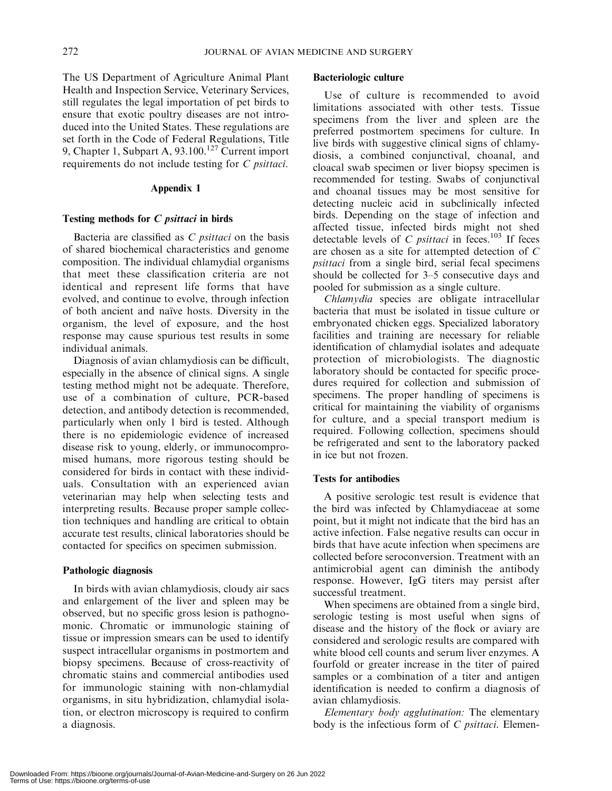The US Department of Agriculture Animal Plant Health and Inspection Service, Veterinary Services, still regulates the legal importation of pet birds to ensure that exotic poultry diseases are not introduced into the United States. These regulations are set forth in the Code of Federal Regulations, Title 9, Chapter 1, Subpart A,  $93.100<sup>127</sup>$  Current import requirements do not include testing for C psittaci.

#### Appendix 1

## Testing methods for C psittaci in birds

Bacteria are classified as C *psittaci* on the basis of shared biochemical characteristics and genome composition. The individual chlamydial organisms that meet these classification criteria are not identical and represent life forms that have evolved, and continue to evolve, through infection of both ancient and na¨ıve hosts. Diversity in the organism, the level of exposure, and the host response may cause spurious test results in some individual animals.

Diagnosis of avian chlamydiosis can be difficult, especially in the absence of clinical signs. A single testing method might not be adequate. Therefore, use of a combination of culture, PCR-based detection, and antibody detection is recommended, particularly when only 1 bird is tested. Although there is no epidemiologic evidence of increased disease risk to young, elderly, or immunocompromised humans, more rigorous testing should be considered for birds in contact with these individuals. Consultation with an experienced avian veterinarian may help when selecting tests and interpreting results. Because proper sample collection techniques and handling are critical to obtain accurate test results, clinical laboratories should be contacted for specifics on specimen submission.

#### Pathologic diagnosis

In birds with avian chlamydiosis, cloudy air sacs and enlargement of the liver and spleen may be observed, but no specific gross lesion is pathognomonic. Chromatic or immunologic staining of tissue or impression smears can be used to identify suspect intracellular organisms in postmortem and biopsy specimens. Because of cross-reactivity of chromatic stains and commercial antibodies used for immunologic staining with non-chlamydial organisms, in situ hybridization, chlamydial isolation, or electron microscopy is required to confirm a diagnosis.

#### Bacteriologic culture

Use of culture is recommended to avoid limitations associated with other tests. Tissue specimens from the liver and spleen are the preferred postmortem specimens for culture. In live birds with suggestive clinical signs of chlamydiosis, a combined conjunctival, choanal, and cloacal swab specimen or liver biopsy specimen is recommended for testing. Swabs of conjunctival and choanal tissues may be most sensitive for detecting nucleic acid in subclinically infected birds. Depending on the stage of infection and affected tissue, infected birds might not shed detectable levels of  $C$  *psittaci* in feces.<sup>103</sup> If feces are chosen as a site for attempted detection of C psittaci from a single bird, serial fecal specimens should be collected for 3–5 consecutive days and pooled for submission as a single culture.

Chlamydia species are obligate intracellular bacteria that must be isolated in tissue culture or embryonated chicken eggs. Specialized laboratory facilities and training are necessary for reliable identification of chlamydial isolates and adequate protection of microbiologists. The diagnostic laboratory should be contacted for specific procedures required for collection and submission of specimens. The proper handling of specimens is critical for maintaining the viability of organisms for culture, and a special transport medium is required. Following collection, specimens should be refrigerated and sent to the laboratory packed in ice but not frozen.

#### Tests for antibodies

A positive serologic test result is evidence that the bird was infected by Chlamydiaceae at some point, but it might not indicate that the bird has an active infection. False negative results can occur in birds that have acute infection when specimens are collected before seroconversion. Treatment with an antimicrobial agent can diminish the antibody response. However, IgG titers may persist after successful treatment.

When specimens are obtained from a single bird, serologic testing is most useful when signs of disease and the history of the flock or aviary are considered and serologic results are compared with white blood cell counts and serum liver enzymes. A fourfold or greater increase in the titer of paired samples or a combination of a titer and antigen identification is needed to confirm a diagnosis of avian chlamydiosis.

Elementary body agglutination: The elementary body is the infectious form of  $C$  *psittaci*. Elemen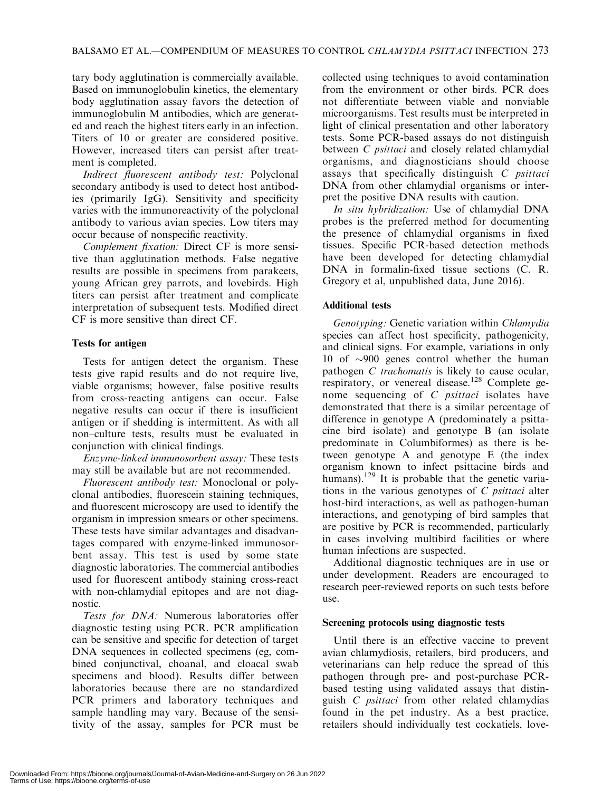tary body agglutination is commercially available. Based on immunoglobulin kinetics, the elementary body agglutination assay favors the detection of immunoglobulin M antibodies, which are generated and reach the highest titers early in an infection. Titers of 10 or greater are considered positive. However, increased titers can persist after treatment is completed.

Indirect fluorescent antibody test: Polyclonal secondary antibody is used to detect host antibodies (primarily IgG). Sensitivity and specificity varies with the immunoreactivity of the polyclonal antibody to various avian species. Low titers may occur because of nonspecific reactivity.

Complement fixation: Direct CF is more sensitive than agglutination methods. False negative results are possible in specimens from parakeets, young African grey parrots, and lovebirds. High titers can persist after treatment and complicate interpretation of subsequent tests. Modified direct CF is more sensitive than direct CF.

## Tests for antigen

Tests for antigen detect the organism. These tests give rapid results and do not require live, viable organisms; however, false positive results from cross-reacting antigens can occur. False negative results can occur if there is insufficient antigen or if shedding is intermittent. As with all non–culture tests, results must be evaluated in conjunction with clinical findings.

Enzyme-linked immunosorbent assay: These tests may still be available but are not recommended.

Fluorescent antibody test: Monoclonal or polyclonal antibodies, fluorescein staining techniques, and fluorescent microscopy are used to identify the organism in impression smears or other specimens. These tests have similar advantages and disadvantages compared with enzyme-linked immunosorbent assay. This test is used by some state diagnostic laboratories. The commercial antibodies used for fluorescent antibody staining cross-react with non-chlamydial epitopes and are not diagnostic.

Tests for DNA: Numerous laboratories offer diagnostic testing using PCR. PCR amplification can be sensitive and specific for detection of target DNA sequences in collected specimens (eg, combined conjunctival, choanal, and cloacal swab specimens and blood). Results differ between laboratories because there are no standardized PCR primers and laboratory techniques and sample handling may vary. Because of the sensitivity of the assay, samples for PCR must be collected using techniques to avoid contamination from the environment or other birds. PCR does not differentiate between viable and nonviable microorganisms. Test results must be interpreted in light of clinical presentation and other laboratory tests. Some PCR-based assays do not distinguish between *C psittaci* and closely related chlamydial organisms, and diagnosticians should choose assays that specifically distinguish C psittaci DNA from other chlamydial organisms or interpret the positive DNA results with caution.

In situ hybridization: Use of chlamydial DNA probes is the preferred method for documenting the presence of chlamydial organisms in fixed tissues. Specific PCR-based detection methods have been developed for detecting chlamydial DNA in formalin-fixed tissue sections (C. R. Gregory et al, unpublished data, June 2016).

## Additional tests

Genotyping: Genetic variation within Chlamydia species can affect host specificity, pathogenicity, and clinical signs. For example, variations in only 10 of  $\sim$ 900 genes control whether the human pathogen *C* trachomatis is likely to cause ocular, respiratory, or venereal disease.<sup>128</sup> Complete genome sequencing of C psittaci isolates have demonstrated that there is a similar percentage of difference in genotype A (predominately a psittacine bird isolate) and genotype B (an isolate predominate in Columbiformes) as there is between genotype A and genotype E (the index organism known to infect psittacine birds and humans).<sup>129</sup> It is probable that the genetic variations in the various genotypes of  $C$  *psittaci* alter host-bird interactions, as well as pathogen-human interactions, and genotyping of bird samples that are positive by PCR is recommended, particularly in cases involving multibird facilities or where human infections are suspected.

Additional diagnostic techniques are in use or under development. Readers are encouraged to research peer-reviewed reports on such tests before use.

## Screening protocols using diagnostic tests

Until there is an effective vaccine to prevent avian chlamydiosis, retailers, bird producers, and veterinarians can help reduce the spread of this pathogen through pre- and post-purchase PCRbased testing using validated assays that distinguish C psittaci from other related chlamydias found in the pet industry. As a best practice, retailers should individually test cockatiels, love-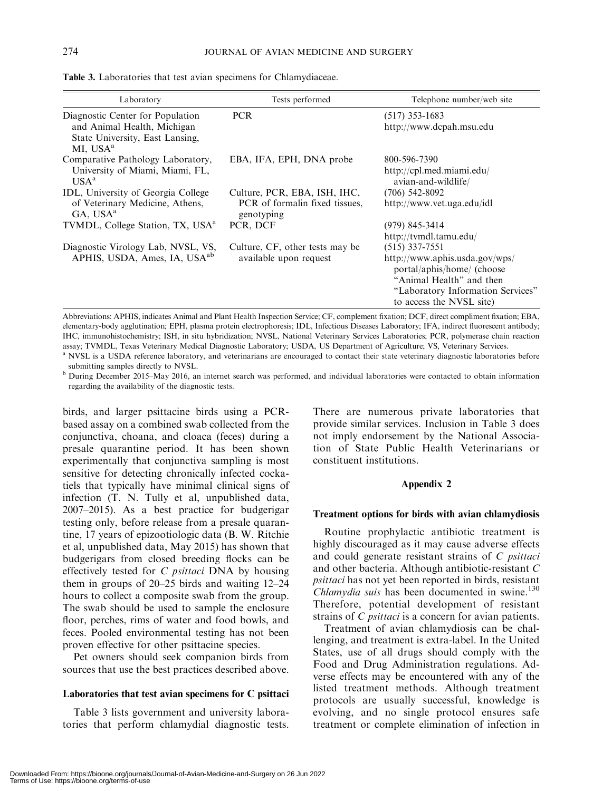| Laboratory                                                                                                                 | Tests performed                                                | Telephone number/web site                                                                                                                                                     |
|----------------------------------------------------------------------------------------------------------------------------|----------------------------------------------------------------|-------------------------------------------------------------------------------------------------------------------------------------------------------------------------------|
| Diagnostic Center for Population<br>and Animal Health, Michigan<br>State University, East Lansing,<br>MI, USA <sup>a</sup> | <b>PCR</b>                                                     | $(517)$ 353-1683<br>http://www.dcpah.msu.edu                                                                                                                                  |
| Comparative Pathology Laboratory,<br>University of Miami, Miami, FL,                                                       | EBA, IFA, EPH, DNA probe                                       | 800-596-7390<br>http://cpl.med.miami.edu/                                                                                                                                     |
| $USAa$<br>IDL, University of Georgia College<br>of Veterinary Medicine, Athens,                                            | Culture, PCR, EBA, ISH, IHC,<br>PCR of formalin fixed tissues, | avian-and-wildlife/<br>$(706)$ 542-8092<br>http://www.vet.uga.edu/idl                                                                                                         |
| GA, USA <sup>a</sup>                                                                                                       | genotyping                                                     |                                                                                                                                                                               |
| TVMDL, College Station, TX, USA <sup>a</sup>                                                                               | PCR, DCF                                                       | $(979)$ 845-3414<br>http://tvmdl.tamu.edu/                                                                                                                                    |
| Diagnostic Virology Lab, NVSL, VS,<br>APHIS, USDA, Ames, IA, USA <sup>ab</sup>                                             | Culture, CF, other tests may be<br>available upon request      | $(515)$ 337-7551<br>http://www.aphis.usda.gov/wps/<br>portal/aphis/home/ (choose<br>"Animal Health" and then<br>"Laboratory Information Services"<br>to access the NVSL site) |

Table 3. Laboratories that test avian specimens for Chlamydiaceae.

Abbreviations: APHIS, indicates Animal and Plant Health Inspection Service; CF, complement fixation; DCF, direct compliment fixation; EBA, elementary-body agglutination; EPH, plasma protein electrophoresis; IDL, Infectious Diseases Laboratory; IFA, indirect fluorescent antibody; IHC, immunohistochemistry; ISH, in situ hybridization; NVSL, National Veterinary Services Laboratories; PCR, polymerase chain reaction assay; TVMDL, Texas Veterinary Medical Diagnostic Laboratory; USDA, US Department of Agriculture; VS, Veterinary Services. <sup>a</sup> NVSL is a USDA reference laboratory, and veterinarians are encouraged to contact their state veterinary diagnostic laboratories before

submitting samples directly to NVSL.

<sup>b</sup> During December 2015–May 2016, an internet search was performed, and individual laboratories were contacted to obtain information regarding the availability of the diagnostic tests.

birds, and larger psittacine birds using a PCRbased assay on a combined swab collected from the conjunctiva, choana, and cloaca (feces) during a presale quarantine period. It has been shown experimentally that conjunctiva sampling is most sensitive for detecting chronically infected cockatiels that typically have minimal clinical signs of infection (T. N. Tully et al, unpublished data, 2007–2015). As a best practice for budgerigar testing only, before release from a presale quarantine, 17 years of epizootiologic data (B. W. Ritchie et al, unpublished data, May 2015) has shown that budgerigars from closed breeding flocks can be effectively tested for  $C$  *psittaci* DNA by housing them in groups of 20–25 birds and waiting 12–24 hours to collect a composite swab from the group. The swab should be used to sample the enclosure floor, perches, rims of water and food bowls, and feces. Pooled environmental testing has not been proven effective for other psittacine species.

Pet owners should seek companion birds from sources that use the best practices described above.

#### Laboratories that test avian specimens for C psittaci

Table 3 lists government and university laboratories that perform chlamydial diagnostic tests. There are numerous private laboratories that provide similar services. Inclusion in Table 3 does not imply endorsement by the National Association of State Public Health Veterinarians or constituent institutions.

#### Appendix 2

#### Treatment options for birds with avian chlamydiosis

Routine prophylactic antibiotic treatment is highly discouraged as it may cause adverse effects and could generate resistant strains of C psittaci and other bacteria. Although antibiotic-resistant C psittaci has not yet been reported in birds, resistant *Chlamydia suis* has been documented in swine.<sup>130</sup> Therefore, potential development of resistant strains of *C psittaci* is a concern for avian patients.

Treatment of avian chlamydiosis can be challenging, and treatment is extra-label. In the United States, use of all drugs should comply with the Food and Drug Administration regulations. Adverse effects may be encountered with any of the listed treatment methods. Although treatment protocols are usually successful, knowledge is evolving, and no single protocol ensures safe treatment or complete elimination of infection in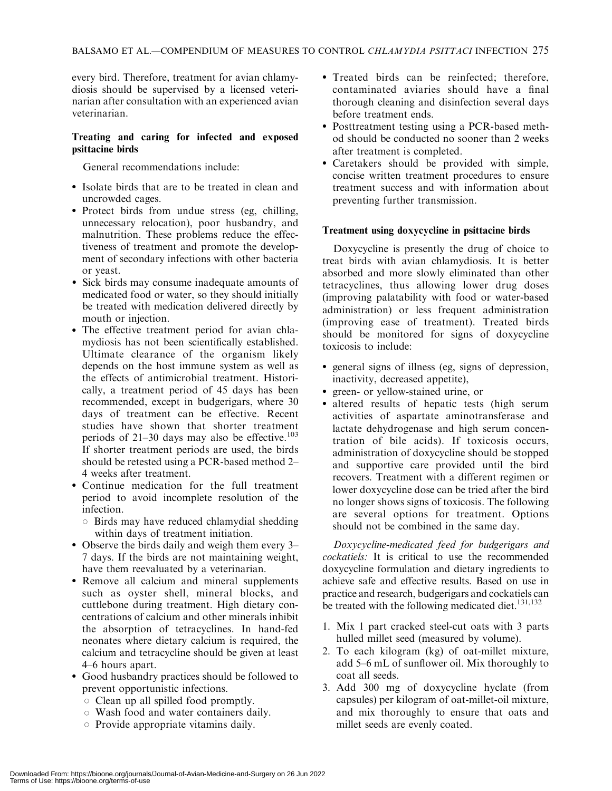every bird. Therefore, treatment for avian chlamydiosis should be supervised by a licensed veterinarian after consultation with an experienced avian veterinarian.

## Treating and caring for infected and exposed psittacine birds

General recommendations include:

- Isolate birds that are to be treated in clean and uncrowded cages.
- Protect birds from undue stress (eg, chilling, unnecessary relocation), poor husbandry, and malnutrition. These problems reduce the effectiveness of treatment and promote the development of secondary infections with other bacteria or yeast.
- Sick birds may consume inadequate amounts of medicated food or water, so they should initially be treated with medication delivered directly by mouth or injection.
- The effective treatment period for avian chlamydiosis has not been scientifically established. Ultimate clearance of the organism likely depends on the host immune system as well as the effects of antimicrobial treatment. Historically, a treatment period of 45 days has been recommended, except in budgerigars, where 30 days of treatment can be effective. Recent studies have shown that shorter treatment periods of  $21-30$  days may also be effective.<sup>103</sup> If shorter treatment periods are used, the birds should be retested using a PCR-based method 2– 4 weeks after treatment.
- Continue medication for the full treatment period to avoid incomplete resolution of the infection.
	- $\circ$  Birds may have reduced chlamydial shedding within days of treatment initiation.
- Observe the birds daily and weigh them every 3– 7 days. If the birds are not maintaining weight, have them reevaluated by a veterinarian.
- Remove all calcium and mineral supplements such as oyster shell, mineral blocks, and cuttlebone during treatment. High dietary concentrations of calcium and other minerals inhibit the absorption of tetracyclines. In hand-fed neonates where dietary calcium is required, the calcium and tetracycline should be given at least 4–6 hours apart.
- Good husbandry practices should be followed to prevent opportunistic infections.
	- $\circ$  Clean up all spilled food promptly.
	- $\circ$  Wash food and water containers daily.
	- $\circ$  Provide appropriate vitamins daily.
- Treated birds can be reinfected; therefore, contaminated aviaries should have a final thorough cleaning and disinfection several days before treatment ends.
- Posttreatment testing using a PCR-based method should be conducted no sooner than 2 weeks after treatment is completed.
- Caretakers should be provided with simple, concise written treatment procedures to ensure treatment success and with information about preventing further transmission.

## Treatment using doxycycline in psittacine birds

Doxycycline is presently the drug of choice to treat birds with avian chlamydiosis. It is better absorbed and more slowly eliminated than other tetracyclines, thus allowing lower drug doses (improving palatability with food or water-based administration) or less frequent administration (improving ease of treatment). Treated birds should be monitored for signs of doxycycline toxicosis to include:

- general signs of illness (eg, signs of depression, inactivity, decreased appetite),
- green- or yellow-stained urine, or
- altered results of hepatic tests (high serum activities of aspartate aminotransferase and lactate dehydrogenase and high serum concentration of bile acids). If toxicosis occurs, administration of doxycycline should be stopped and supportive care provided until the bird recovers. Treatment with a different regimen or lower doxycycline dose can be tried after the bird no longer shows signs of toxicosis. The following are several options for treatment. Options should not be combined in the same day.

Doxycycline-medicated feed for budgerigars and cockatiels: It is critical to use the recommended doxycycline formulation and dietary ingredients to achieve safe and effective results. Based on use in practice and research, budgerigars and cockatiels can be treated with the following medicated diet.<sup>131,132</sup>

- 1. Mix 1 part cracked steel-cut oats with 3 parts hulled millet seed (measured by volume).
- 2. To each kilogram (kg) of oat-millet mixture, add 5–6 mL of sunflower oil. Mix thoroughly to coat all seeds.
- 3. Add 300 mg of doxycycline hyclate (from capsules) per kilogram of oat-millet-oil mixture, and mix thoroughly to ensure that oats and millet seeds are evenly coated.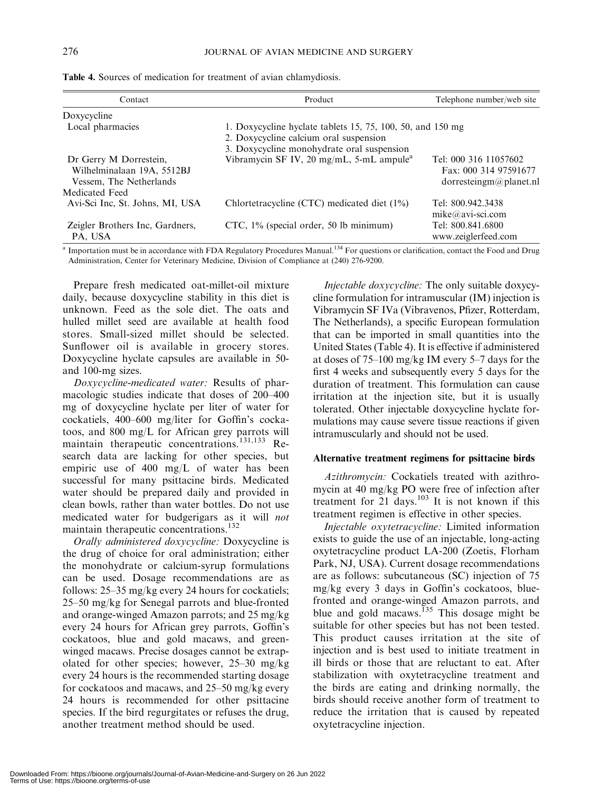| Contact                                                                         | Product                                                                                                                                            | Telephone number/web site                                                |
|---------------------------------------------------------------------------------|----------------------------------------------------------------------------------------------------------------------------------------------------|--------------------------------------------------------------------------|
| Doxycycline                                                                     |                                                                                                                                                    |                                                                          |
| Local pharmacies                                                                | 1. Doxycycline hyclate tablets 15, 75, 100, 50, and 150 mg<br>2. Doxycycline calcium oral suspension<br>3. Doxycycline monohydrate oral suspension |                                                                          |
| Dr Gerry M Dorrestein,<br>Wilhelminalaan 19A, 5512BJ<br>Vessem, The Netherlands | Vibramycin SF IV, 20 mg/mL, 5-mL ampule <sup>a</sup>                                                                                               | Tel: 000 316 11057602<br>Fax: 000 314 97591677<br>dorresteingm@planet.nl |
| Medicated Feed                                                                  |                                                                                                                                                    |                                                                          |
| Avi-Sci Inc, St. Johns, MI, USA                                                 | Chlortetracycline (CTC) medicated diet (1%)                                                                                                        | Tel: 800.942.3438<br>$mike@avi-sci.com$                                  |
| Zeigler Brothers Inc, Gardners,<br>PA, USA                                      | CTC, 1% (special order, 50 lb minimum)                                                                                                             | Tel: 800.841.6800<br>www.zeiglerfeed.com                                 |

Table 4. Sources of medication for treatment of avian chlamydiosis.

<sup>a</sup> Importation must be in accordance with FDA Regulatory Procedures Manual.<sup>134</sup> For questions or clarification, contact the Food and Drug Administration, Center for Veterinary Medicine, Division of Compliance at (240) 276-9200.

Prepare fresh medicated oat-millet-oil mixture daily, because doxycycline stability in this diet is unknown. Feed as the sole diet. The oats and hulled millet seed are available at health food stores. Small-sized millet should be selected. Sunflower oil is available in grocery stores. Doxycycline hyclate capsules are available in 50 and 100-mg sizes.

Doxycycline-medicated water: Results of pharmacologic studies indicate that doses of 200–400 mg of doxycycline hyclate per liter of water for cockatiels, 400–600 mg/liter for Goffin's cockatoos, and 800 mg/L for African grey parrots will maintain therapeutic concentrations.<sup>131,133</sup> Research data are lacking for other species, but empiric use of 400 mg/L of water has been successful for many psittacine birds. Medicated water should be prepared daily and provided in clean bowls, rather than water bottles. Do not use medicated water for budgerigars as it will not maintain therapeutic concentrations.132

Orally administered doxycycline: Doxycycline is the drug of choice for oral administration; either the monohydrate or calcium-syrup formulations can be used. Dosage recommendations are as follows: 25–35 mg/kg every 24 hours for cockatiels; 25–50 mg/kg for Senegal parrots and blue-fronted and orange-winged Amazon parrots; and 25 mg/kg every 24 hours for African grey parrots, Goffin's cockatoos, blue and gold macaws, and greenwinged macaws. Precise dosages cannot be extrapolated for other species; however, 25–30 mg/kg every 24 hours is the recommended starting dosage for cockatoos and macaws, and 25–50 mg/kg every 24 hours is recommended for other psittacine species. If the bird regurgitates or refuses the drug, another treatment method should be used.

Injectable doxycycline: The only suitable doxycycline formulation for intramuscular (IM) injection is Vibramycin SF IVa (Vibravenos, Pfizer, Rotterdam, The Netherlands), a specific European formulation that can be imported in small quantities into the United States (Table 4). It is effective if administered at doses of 75–100 mg/kg IM every 5–7 days for the first 4 weeks and subsequently every 5 days for the duration of treatment. This formulation can cause irritation at the injection site, but it is usually tolerated. Other injectable doxycycline hyclate formulations may cause severe tissue reactions if given intramuscularly and should not be used.

#### Alternative treatment regimens for psittacine birds

Azithromycin: Cockatiels treated with azithromycin at 40 mg/kg PO were free of infection after treatment for  $21$  days.<sup>103</sup> It is not known if this treatment regimen is effective in other species.

Injectable oxytetracycline: Limited information exists to guide the use of an injectable, long-acting oxytetracycline product LA-200 (Zoetis, Florham Park, NJ, USA). Current dosage recommendations are as follows: subcutaneous (SC) injection of 75 mg/kg every 3 days in Goffin's cockatoos, bluefronted and orange-winged Amazon parrots, and blue and gold macaws.<sup>135</sup> This dosage might be suitable for other species but has not been tested. This product causes irritation at the site of injection and is best used to initiate treatment in ill birds or those that are reluctant to eat. After stabilization with oxytetracycline treatment and the birds are eating and drinking normally, the birds should receive another form of treatment to reduce the irritation that is caused by repeated oxytetracycline injection.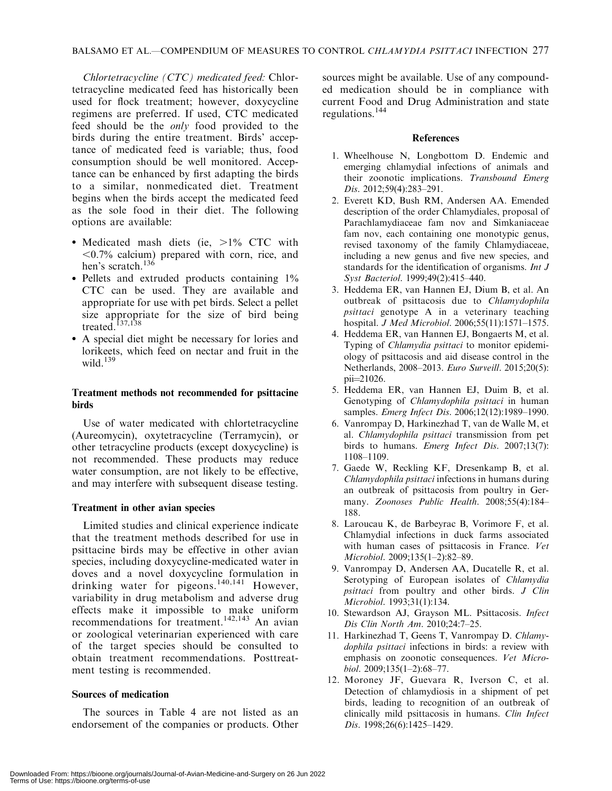Chlortetracycline (CTC) medicated feed: Chlortetracycline medicated feed has historically been used for flock treatment; however, doxycycline regimens are preferred. If used, CTC medicated feed should be the only food provided to the birds during the entire treatment. Birds' acceptance of medicated feed is variable; thus, food consumption should be well monitored. Acceptance can be enhanced by first adapting the birds to a similar, nonmedicated diet. Treatment begins when the birds accept the medicated feed as the sole food in their diet. The following options are available:

- Medicated mash diets (ie, >1% CTC with  $\leq 0.7\%$  calcium) prepared with corn, rice, and hen's scratch.<sup>136</sup>
- Pellets and extruded products containing 1% CTC can be used. They are available and appropriate for use with pet birds. Select a pellet size appropriate for the size of bird being treated.<sup>137,138</sup>
- A special diet might be necessary for lories and lorikeets, which feed on nectar and fruit in the wild. $139$

## Treatment methods not recommended for psittacine birds

Use of water medicated with chlortetracycline (Aureomycin), oxytetracycline (Terramycin), or other tetracycline products (except doxycycline) is not recommended. These products may reduce water consumption, are not likely to be effective, and may interfere with subsequent disease testing.

## Treatment in other avian species

Limited studies and clinical experience indicate that the treatment methods described for use in psittacine birds may be effective in other avian species, including doxycycline-medicated water in doves and a novel doxycycline formulation in drinking water for pigeons.<sup>140,141</sup> However, variability in drug metabolism and adverse drug effects make it impossible to make uniform recommendations for treatment.<sup>142,143</sup> An avian or zoological veterinarian experienced with care of the target species should be consulted to obtain treatment recommendations. Posttreatment testing is recommended.

## Sources of medication

The sources in Table 4 are not listed as an endorsement of the companies or products. Other sources might be available. Use of any compounded medication should be in compliance with current Food and Drug Administration and state regulations.<sup>144</sup>

#### References

- 1. Wheelhouse N, Longbottom D. Endemic and emerging chlamydial infections of animals and their zoonotic implications. Transbound Emerg Dis. 2012;59(4):283-291.
- 2. Everett KD, Bush RM, Andersen AA. Emended description of the order Chlamydiales, proposal of Parachlamydiaceae fam nov and Simkaniaceae fam nov, each containing one monotypic genus, revised taxonomy of the family Chlamydiaceae, including a new genus and five new species, and standards for the identification of organisms. Int J Syst Bacteriol. 1999;49(2):415-440.
- 3. Heddema ER, van Hannen EJ, Dium B, et al. An outbreak of psittacosis due to Chlamydophila psittaci genotype A in a veterinary teaching hospital. J Med Microbiol. 2006;55(11):1571–1575.
- 4. Heddema ER, van Hannen EJ, Bongaerts M, et al. Typing of *Chlamydia psittaci* to monitor epidemiology of psittacosis and aid disease control in the Netherlands, 2008–2013. Euro Surveill. 2015;20(5):  $pi=21026$ .
- 5. Heddema ER, van Hannen EJ, Duim B, et al. Genotyping of Chlamydophila psittaci in human samples. Emerg Infect Dis. 2006;12(12):1989-1990.
- 6. Vanrompay D, Harkinezhad T, van de Walle M, et al. Chlamydophila psittaci transmission from pet birds to humans. Emerg Infect Dis. 2007;13(7): 1108–1109.
- 7. Gaede W, Reckling KF, Dresenkamp B, et al. Chlamydophila psittaci infections in humans during an outbreak of psittacosis from poultry in Germany. Zoonoses Public Health. 2008;55(4):184– 188.
- 8. Laroucau K, de Barbeyrac B, Vorimore F, et al. Chlamydial infections in duck farms associated with human cases of psittacosis in France. Vet Microbiol. 2009;135(1–2):82–89.
- 9. Vanrompay D, Andersen AA, Ducatelle R, et al. Serotyping of European isolates of Chlamydia psittaci from poultry and other birds. J Clin Microbiol. 1993;31(1):134.
- 10. Stewardson AJ, Grayson ML. Psittacosis. Infect Dis Clin North Am. 2010;24:7–25.
- 11. Harkinezhad T, Geens T, Vanrompay D. Chlamydophila psittaci infections in birds: a review with emphasis on zoonotic consequences. Vet Microbiol. 2009;135(1–2):68–77.
- 12. Moroney JF, Guevara R, Iverson C, et al. Detection of chlamydiosis in a shipment of pet birds, leading to recognition of an outbreak of clinically mild psittacosis in humans. Clin Infect Dis. 1998;26(6):1425–1429.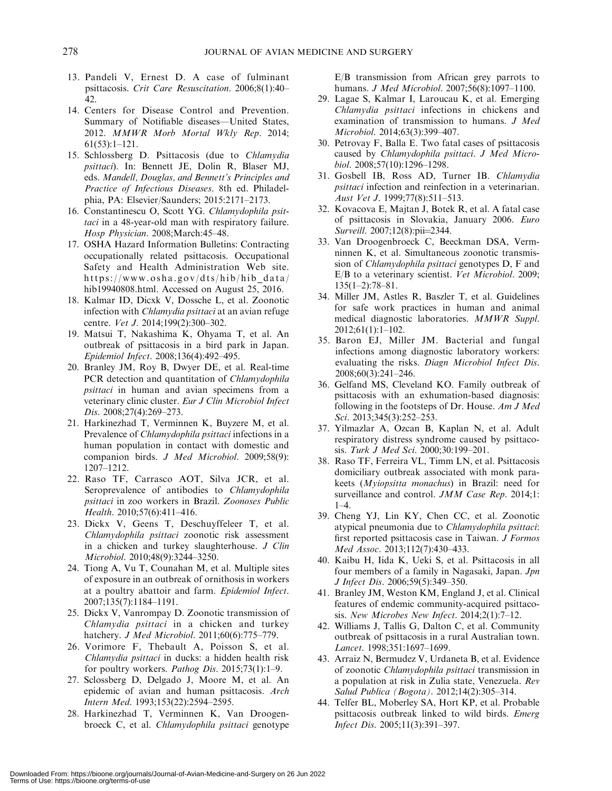- 13. Pandeli V, Ernest D. A case of fulminant psittacosis. Crit Care Resuscitation. 2006;8(1):40– 42.
- 14. Centers for Disease Control and Prevention. Summary of Notifiable diseases—United States, 2012. MMWR Morb Mortal Wkly Rep. 2014; 61(53):1–121.
- 15. Schlossberg D. Psittacosis (due to Chlamydia psittaci). In: Bennett JE, Dolin R, Blaser MJ, eds. Mandell, Douglas, and Bennett's Principles and Practice of Infectious Diseases. 8th ed. Philadelphia, PA: Elsevier/Saunders; 2015:2171–2173.
- 16. Constantinescu O, Scott YG. Chlamydophila psittaci in a 48-year-old man with respiratory failure. Hosp Physician. 2008;March:45–48.
- 17. OSHA Hazard Information Bulletins: Contracting occupationally related psittacosis. Occupational Safety and Health Administration Web site. https://www.osha.gov/dts/hib/hib\_data/ hib19940808.html. Accessed on August 25, 2016.
- 18. Kalmar ID, Dicxk V, Dossche L, et al. Zoonotic infection with Chlamydia psittaci at an avian refuge centre. Vet J. 2014;199(2):300–302.
- 19. Matsui T, Nakashima K, Ohyama T, et al. An outbreak of psittacosis in a bird park in Japan. Epidemiol Infect. 2008;136(4):492–495.
- 20. Branley JM, Roy B, Dwyer DE, et al. Real-time PCR detection and quantitation of Chlamydophila psittaci in human and avian specimens from a veterinary clinic cluster. Eur J Clin Microbiol Infect Dis. 2008;27(4):269–273.
- 21. Harkinezhad T, Verminnen K, Buyzere M, et al. Prevalence of Chlamydophila psittaci infections in a human population in contact with domestic and companion birds. J Med Microbiol. 2009;58(9): 1207–1212.
- 22. Raso TF, Carrasco AOT, Silva JCR, et al. Seroprevalence of antibodies to Chlamydophila psittaci in zoo workers in Brazil. Zoonoses Public Health. 2010;57(6):411–416.
- 23. Dickx V, Geens T, Deschuyffeleer T, et al. Chlamydophila psittaci zoonotic risk assessment in a chicken and turkey slaughterhouse. J Clin Microbiol. 2010;48(9):3244–3250.
- 24. Tiong A, Vu T, Counahan M, et al. Multiple sites of exposure in an outbreak of ornithosis in workers at a poultry abattoir and farm. Epidemiol Infect. 2007;135(7):1184–1191.
- 25. Dickx V, Vanrompay D. Zoonotic transmission of Chlamydia psittaci in a chicken and turkey hatchery. J Med Microbiol. 2011;60(6):775–779.
- 26. Vorimore F, Thebault A, Poisson S, et al. Chlamydia psittaci in ducks: a hidden health risk for poultry workers. *Pathog Dis.* 2015;73(1):1–9.
- 27. Sclossberg D, Delgado J, Moore M, et al. An epidemic of avian and human psittacosis. Arch Intern Med. 1993;153(22):2594–2595.
- 28. Harkinezhad T, Verminnen K, Van Droogenbroeck C, et al. Chlamydophila psittaci genotype

E/B transmission from African grey parrots to humans. J Med Microbiol. 2007;56(8):1097–1100.

- 29. Lagae S, Kalmar I, Laroucau K, et al. Emerging Chlamydia psittaci infections in chickens and examination of transmission to humans. J Med Microbiol. 2014;63(3):399–407.
- 30. Petrovay F, Balla E. Two fatal cases of psittacosis caused by Chlamydophila psittaci. J Med Microbiol. 2008;57(10):1296–1298.
- 31. Gosbell IB, Ross AD, Turner IB. Chlamydia psittaci infection and reinfection in a veterinarian. Aust Vet J. 1999;77(8):511–513.
- 32. Kovacova E, Majtan J, Botek R, et al. A fatal case of psittacosis in Slovakia, January 2006. Euro Surveill. 2007;12(8):pii=2344.
- 33. Van Droogenbroeck C, Beeckman DSA, Vermninnen K, et al. Simultaneous zoonotic transmission of Chlamydophila psittaci genotypes D, F and E/B to a veterinary scientist. Vet Microbiol. 2009; 135(1–2):78–81.
- 34. Miller JM, Astles R, Baszler T, et al. Guidelines for safe work practices in human and animal medical diagnostic laboratories. MMWR Suppl. 2012;61(1):1–102.
- 35. Baron EJ, Miller JM. Bacterial and fungal infections among diagnostic laboratory workers: evaluating the risks. Diagn Microbiol Infect Dis. 2008;60(3):241–246.
- 36. Gelfand MS, Cleveland KO. Family outbreak of psittacosis with an exhumation-based diagnosis: following in the footsteps of Dr. House. Am J Med Sci. 2013;345(3):252-253.
- 37. Yilmazlar A, Ozcan B, Kaplan N, et al. Adult respiratory distress syndrome caused by psittacosis. Turk J Med Sci. 2000;30:199–201.
- 38. Raso TF, Ferreira VL, Timm LN, et al. Psittacosis domiciliary outbreak associated with monk parakeets (Myiopsitta monachus) in Brazil: need for surveillance and control. JMM Case Rep. 2014;1: 1–4.
- 39. Cheng YJ, Lin KY, Chen CC, et al. Zoonotic atypical pneumonia due to Chlamydophila psittaci: first reported psittacosis case in Taiwan. J Formos Med Assoc. 2013;112(7):430–433.
- 40. Kaibu H, Iida K, Ueki S, et al. Psittacosis in all four members of a family in Nagasaki, Japan. Jpn J Infect Dis. 2006;59(5):349–350.
- 41. Branley JM, Weston KM, England J, et al. Clinical features of endemic community-acquired psittacosis. New Microbes New Infect. 2014;2(1):7–12.
- 42. Williams J, Tallis G, Dalton C, et al. Community outbreak of psittacosis in a rural Australian town. Lancet. 1998;351:1697–1699.
- 43. Arraiz N, Bermudez V, Urdaneta B, et al. Evidence of zoonotic Chlamydophila psittaci transmission in a population at risk in Zulia state, Venezuela. Rev Salud Publica (Bogota). 2012;14(2):305–314.
- 44. Telfer BL, Moberley SA, Hort KP, et al. Probable psittacosis outbreak linked to wild birds. Emerg Infect Dis. 2005;11(3):391–397.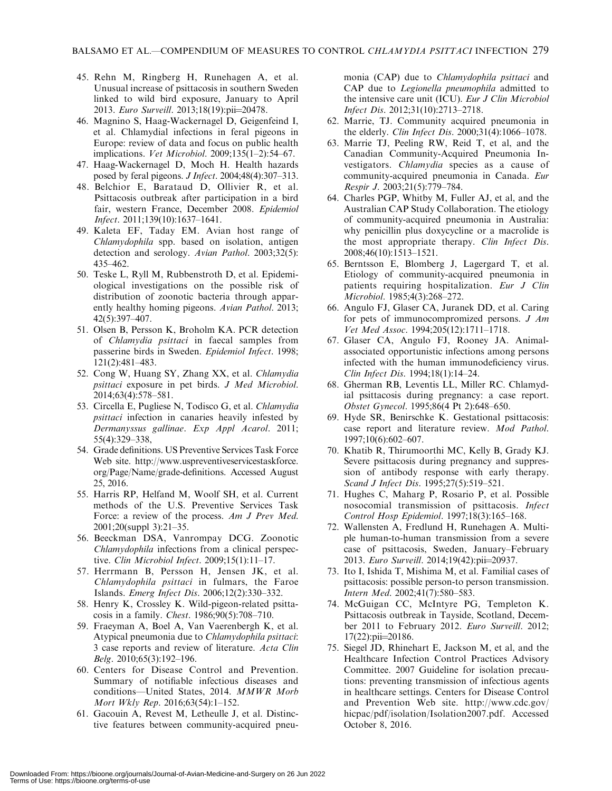- 45. Rehn M, Ringberg H, Runehagen A, et al. Unusual increase of psittacosis in southern Sweden linked to wild bird exposure, January to April 2013. Euro Surveill. 2013;18(19):pii=20478.
- 46. Magnino S, Haag-Wackernagel D, Geigenfeind I, et al. Chlamydial infections in feral pigeons in Europe: review of data and focus on public health implications. Vet Microbiol. 2009;135(1–2):54–67.
- 47. Haag-Wackernagel D, Moch H. Health hazards posed by feral pigeons. J Infect. 2004;48(4):307–313.
- 48. Belchior E, Barataud D, Ollivier R, et al. Psittacosis outbreak after participation in a bird fair, western France, December 2008. Epidemiol Infect. 2011;139(10):1637–1641.
- 49. Kaleta EF, Taday EM. Avian host range of Chlamydophila spp. based on isolation, antigen detection and serology. Avian Pathol. 2003;32(5): 435–462.
- 50. Teske L, Ryll M, Rubbenstroth D, et al. Epidemiological investigations on the possible risk of distribution of zoonotic bacteria through apparently healthy homing pigeons. Avian Pathol. 2013; 42(5):397–407.
- 51. Olsen B, Persson K, Broholm KA. PCR detection of Chlamydia psittaci in faecal samples from passerine birds in Sweden. Epidemiol Infect. 1998; 121(2):481–483.
- 52. Cong W, Huang SY, Zhang XX, et al. Chlamydia psittaci exposure in pet birds. J Med Microbiol. 2014;63(4):578–581.
- 53. Circella E, Pugliese N, Todisco G, et al. Chlamydia psittaci infection in canaries heavily infested by Dermanyssus gallinae. Exp Appl Acarol. 2011; 55(4):329–338,
- 54. Grade definitions. US Preventive Services Task Force Web site. http://www.uspreventiveservicestaskforce. org/Page/Name/grade-definitions. Accessed August 25, 2016.
- 55. Harris RP, Helfand M, Woolf SH, et al. Current methods of the U.S. Preventive Services Task Force: a review of the process. Am J Prev Med. 2001;20(suppl 3):21–35.
- 56. Beeckman DSA, Vanrompay DCG. Zoonotic Chlamydophila infections from a clinical perspective. Clin Microbiol Infect. 2009;15(1):11–17.
- 57. Herrmann B, Persson H, Jensen JK, et al. Chlamydophila psittaci in fulmars, the Faroe Islands. Emerg Infect Dis. 2006;12(2):330–332.
- 58. Henry K, Crossley K. Wild-pigeon-related psittacosis in a family. Chest. 1986;90(5):708–710.
- 59. Fraeyman A, Boel A, Van Vaerenbergh K, et al. Atypical pneumonia due to Chlamydophila psittaci: 3 case reports and review of literature. Acta Clin Belg. 2010;65(3):192–196.
- 60. Centers for Disease Control and Prevention. Summary of notifiable infectious diseases and conditions—United States, 2014. MMWR Morb Mort Wkly Rep. 2016;63(54):1–152.
- 61. Gacouin A, Revest M, Letheulle J, et al. Distinctive features between community-acquired pneu-

monia (CAP) due to Chlamydophila psittaci and CAP due to Legionella pneumophila admitted to the intensive care unit (ICU). Eur J Clin Microbiol Infect Dis. 2012;31(10):2713–2718.

- 62. Marrie, TJ. Community acquired pneumonia in the elderly. Clin Infect Dis. 2000;31(4):1066–1078.
- 63. Marrie TJ, Peeling RW, Reid T, et al, and the Canadian Community-Acquired Pneumonia Investigators. Chlamydia species as a cause of community-acquired pneumonia in Canada. Eur Respir J. 2003;21(5):779–784.
- 64. Charles PGP, Whitby M, Fuller AJ, et al, and the Australian CAP Study Collaboration. The etiology of community-acquired pneumonia in Australia: why penicillin plus doxycycline or a macrolide is the most appropriate therapy. Clin Infect Dis. 2008;46(10):1513–1521.
- 65. Berntsson E, Blomberg J, Lagergard T, et al. Etiology of community-acquired pneumonia in patients requiring hospitalization. Eur J Clin Microbiol. 1985;4(3):268–272.
- 66. Angulo FJ, Glaser CA, Juranek DD, et al. Caring for pets of immunocompromized persons. J Am Vet Med Assoc. 1994;205(12):1711–1718.
- 67. Glaser CA, Angulo FJ, Rooney JA. Animalassociated opportunistic infections among persons infected with the human immunodeficiency virus. Clin Infect Dis. 1994;18(1):14–24.
- 68. Gherman RB, Leventis LL, Miller RC. Chlamydial psittacosis during pregnancy: a case report. Obstet Gynecol. 1995;86(4 Pt 2):648–650.
- 69. Hyde SR, Benirschke K. Gestational psittacosis: case report and literature review. Mod Pathol. 1997;10(6):602–607.
- 70. Khatib R, Thirumoorthi MC, Kelly B, Grady KJ. Severe psittacosis during pregnancy and suppression of antibody response with early therapy. Scand J Infect Dis. 1995;27(5):519-521.
- 71. Hughes C, Maharg P, Rosario P, et al. Possible nosocomial transmission of psittacosis. Infect Control Hosp Epidemiol. 1997;18(3):165–168.
- 72. Wallensten A, Fredlund H, Runehagen A. Multiple human-to-human transmission from a severe case of psittacosis, Sweden, January–February 2013. Euro Surveill. 2014;19(42):pii=20937.
- 73. Ito I, Ishida T, Mishima M, et al. Familial cases of psittacosis: possible person-to person transmission. Intern Med. 2002;41(7):580–583.
- 74. McGuigan CC, McIntyre PG, Templeton K. Psittacosis outbreak in Tayside, Scotland, December 2011 to February 2012. Euro Surveill. 2012;  $17(22):pii=20186$ .
- 75. Siegel JD, Rhinehart E, Jackson M, et al, and the Healthcare Infection Control Practices Advisory Committee. 2007 Guideline for isolation precautions: preventing transmission of infectious agents in healthcare settings. Centers for Disease Control and Prevention Web site. http://www.cdc.gov/ hicpac/pdf/isolation/Isolation2007.pdf. Accessed October 8, 2016.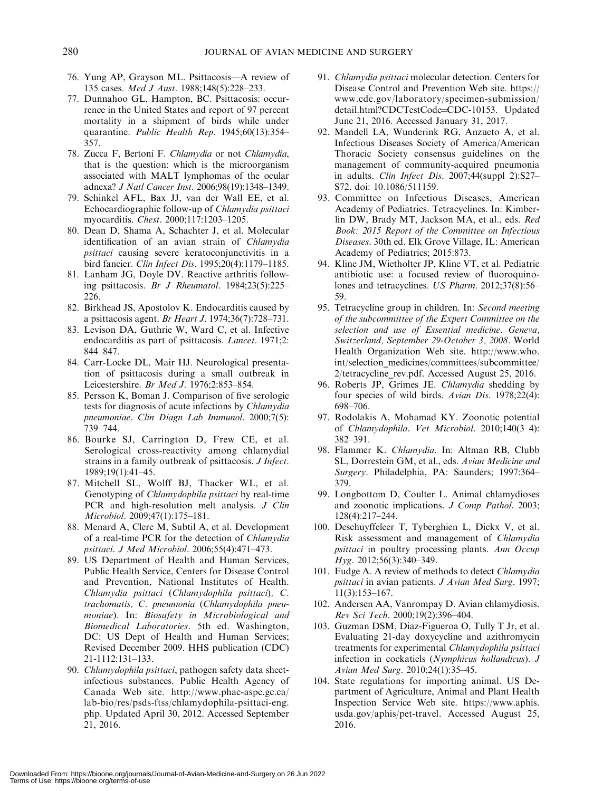- 76. Yung AP, Grayson ML. Psittacosis—A review of 135 cases. Med J Aust. 1988;148(5):228–233.
- 77. Dunnahoo GL, Hampton, BC. Psittacosis: occurrence in the United States and report of 97 percent mortality in a shipment of birds while under quarantine. Public Health Rep. 1945;60(13):354– 357.
- 78. Zucca F, Bertoni F. Chlamydia or not Chlamydia, that is the question: which is the microorganism associated with MALT lymphomas of the ocular adnexa? J Natl Cancer Inst. 2006;98(19):1348–1349.
- 79. Schinkel AFL, Bax JJ, van der Wall EE, et al. Echocardiographic follow-up of Chlamydia psittaci myocarditis. Chest. 2000;117:1203–1205.
- 80. Dean D, Shama A, Schachter J, et al. Molecular identification of an avian strain of Chlamydia psittaci causing severe keratoconjunctivitis in a bird fancier. Clin Infect Dis. 1995;20(4):1179–1185.
- 81. Lanham JG, Doyle DV. Reactive arthritis following psittacosis. Br J Rheumatol. 1984;23(5):225– 226.
- 82. Birkhead JS, Apostolov K. Endocarditis caused by a psittacosis agent. Br Heart J. 1974;36(7):728–731.
- 83. Levison DA, Guthrie W, Ward C, et al. Infective endocarditis as part of psittacosis. Lancet. 1971;2: 844–847.
- 84. Carr-Locke DL, Mair HJ. Neurological presentation of psittacosis during a small outbreak in Leicestershire. Br Med J. 1976;2:853–854.
- 85. Persson K, Boman J. Comparison of five serologic tests for diagnosis of acute infections by Chlamydia pneumoniae. Clin Diagn Lab Immunol. 2000;7(5): 739–744.
- 86. Bourke SJ, Carrington D, Frew CE, et al. Serological cross-reactivity among chlamydial strains in a family outbreak of psittacosis. J Infect. 1989;19(1):41–45.
- 87. Mitchell SL, Wolff BJ, Thacker WL, et al. Genotyping of Chlamydophila psittaci by real-time PCR and high-resolution melt analysis. J Clin Microbiol. 2009;47(1):175–181.
- 88. Menard A, Clerc M, Subtil A, et al. Development of a real-time PCR for the detection of Chlamydia psittaci. J Med Microbiol. 2006;55(4):471–473.
- 89. US Department of Health and Human Services, Public Health Service, Centers for Disease Control and Prevention, National Institutes of Health. Chlamydia psittaci (Chlamydophila psittaci), C. trachomatis, C. pneumonia (Chlamydophila pneumoniae). In: Biosafety in Microbiological and Biomedical Laboratories. 5th ed. Washington, DC: US Dept of Health and Human Services; Revised December 2009. HHS publication (CDC) 21-1112:131–133.
- 90. Chlamydophila psittaci, pathogen safety data sheetinfectious substances. Public Health Agency of Canada Web site. http://www.phac-aspc.gc.ca/ lab-bio/res/psds-ftss/chlamydophila-psittaci-eng. php. Updated April 30, 2012. Accessed September 21, 2016.
- 91. Chlamydia psittaci molecular detection. Centers for Disease Control and Prevention Web site. https:// www.cdc.gov/laboratory/specimen-submission/ detail.html?CDCTestCode=CDC-10153. Updated June 21, 2016. Accessed January 31, 2017.
- 92. Mandell LA, Wunderink RG, Anzueto A, et al. Infectious Diseases Society of America/American Thoracic Society consensus guidelines on the management of community-acquired pneumonia in adults. Clin Infect Dis. 2007;44(suppl 2):S27– S72. doi: 10.1086/511159.
- 93. Committee on Infectious Diseases, American Academy of Pediatrics. Tetracyclines. In: Kimberlin DW, Brady MT, Jackson MA, et al., eds. Red Book: 2015 Report of the Committee on Infectious Diseases. 30th ed. Elk Grove Village, IL: American Academy of Pediatrics; 2015:873.
- 94. Kline JM, Wietholter JP, Kline VT, et al. Pediatric antibiotic use: a focused review of fluoroquinolones and tetracyclines. US Pharm. 2012;37(8):56– 59.
- 95. Tetracycline group in children. In: Second meeting of the subcommittee of the Expert Committee on the selection and use of Essential medicine. Geneva, Switzerland, September 29-October 3, 2008. World Health Organization Web site. http://www.who. int/selection\_medicines/committees/subcommittee/ 2/tetracycline\_rev.pdf. Accessed August 25, 2016.
- 96. Roberts JP, Grimes JE. Chlamydia shedding by four species of wild birds. Avian Dis. 1978;22(4): 698–706.
- 97. Rodolakis A, Mohamad KY. Zoonotic potential of Chlamydophila. Vet Microbiol. 2010;140(3–4): 382–391.
- 98. Flammer K. Chlamydia. In: Altman RB, Clubb SL, Dorrestein GM, et al., eds. Avian Medicine and Surgery. Philadelphia, PA: Saunders; 1997:364– 379.
- 99. Longbottom D, Coulter L. Animal chlamydioses and zoonotic implications. *J Comp Pathol.* 2003; 128(4):217–244.
- 100. Deschuyffeleer T, Tyberghien L, Dickx V, et al. Risk assessment and management of Chlamydia psittaci in poultry processing plants. Ann Occup Hyg. 2012;56(3):340–349.
- 101. Fudge A. A review of methods to detect Chlamydia psittaci in avian patients. J Avian Med Surg. 1997; 11(3):153–167.
- 102. Andersen AA, Vanrompay D. Avian chlamydiosis. Rev Sci Tech. 2000;19(2):396–404.
- 103. Guzman DSM, Diaz-Figueroa O, Tully T Jr, et al. Evaluating 21-day doxycycline and azithromycin treatments for experimental Chlamydophila psittaci infection in cockatiels (Nymphicus hollandicus). J Avian Med Surg. 2010;24(1):35–45.
- 104. State regulations for importing animal. US Department of Agriculture, Animal and Plant Health Inspection Service Web site. https://www.aphis. usda.gov/aphis/pet-travel. Accessed August 25, 2016.

Downloaded From: https://bioone.org/journals/Journal-of-Avian-Medicine-and-Surgery on 26 Jun 2022

Terms of Use: https://bioone.org/terms-of-use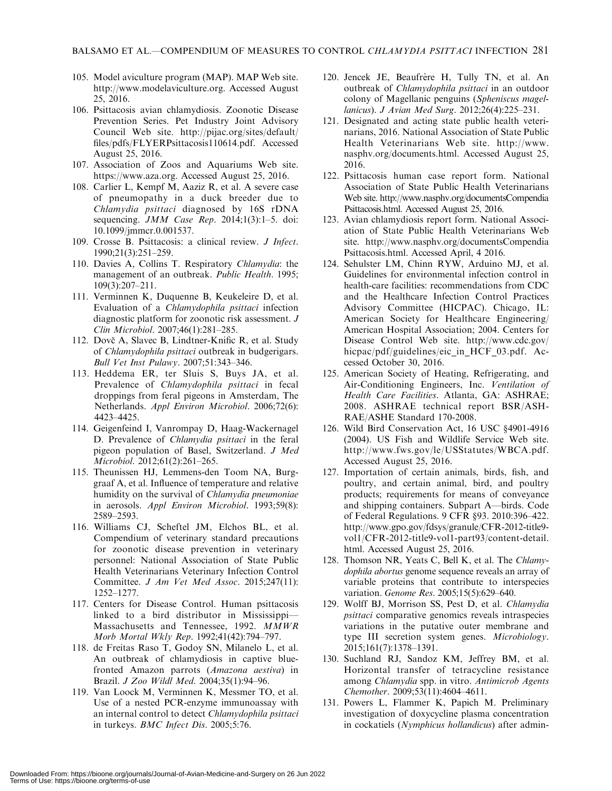- 105. Model aviculture program (MAP). MAP Web site. http://www.modelaviculture.org. Accessed August 25, 2016.
- 106. Psittacosis avian chlamydiosis. Zoonotic Disease Prevention Series. Pet Industry Joint Advisory Council Web site. http://pijac.org/sites/default/ files/pdfs/FLYERPsittacosis110614.pdf. Accessed August 25, 2016.
- 107. Association of Zoos and Aquariums Web site. https://www.aza.org. Accessed August 25, 2016.
- 108. Carlier L, Kempf M, Aaziz R, et al. A severe case of pneumopathy in a duck breeder due to Chlamydia psittaci diagnosed by 16S rDNA sequencing. JMM Case Rep. 2014;1(3):1-5. doi: 10.1099/jmmcr.0.001537.
- 109. Crosse B. Psittacosis: a clinical review. J Infect. 1990;21(3):251–259.
- 110. Davies A, Collins T. Respiratory Chlamydia: the management of an outbreak. Public Health. 1995; 109(3):207–211.
- 111. Verminnen K, Duquenne B, Keukeleire D, et al. Evaluation of a Chlamydophila psittaci infection diagnostic platform for zoonotic risk assessment. J Clin Microbiol. 2007;46(1):281–285.
- 112. Dovč A, Slavec B, Lindtner-Knific R, et al. Study of Chlamydophila psittaci outbreak in budgerigars. Bull Vet Inst Pulawy. 2007;51:343–346.
- 113. Heddema ER, ter Sluis S, Buys JA, et al. Prevalence of Chlamydophila psittaci in fecal droppings from feral pigeons in Amsterdam, The Netherlands. Appl Environ Microbiol. 2006;72(6): 4423–4425.
- 114. Geigenfeind I, Vanrompay D, Haag-Wackernagel D. Prevalence of Chlamydia psittaci in the feral pigeon population of Basel, Switzerland. J Med Microbiol. 2012;61(2):261–265.
- 115. Theunissen HJ, Lemmens-den Toom NA, Burggraaf A, et al. Influence of temperature and relative humidity on the survival of Chlamydia pneumoniae in aerosols. Appl Environ Microbiol. 1993;59(8): 2589–2593.
- 116. Williams CJ, Scheftel JM, Elchos BL, et al. Compendium of veterinary standard precautions for zoonotic disease prevention in veterinary personnel: National Association of State Public Health Veterinarians Veterinary Infection Control Committee. J Am Vet Med Assoc. 2015;247(11): 1252–1277.
- 117. Centers for Disease Control. Human psittacosis linked to a bird distributor in Mississippi— Massachusetts and Tennessee, 1992. MMWR Morb Mortal Wkly Rep. 1992;41(42):794–797.
- 118. de Freitas Raso T, Godoy SN, Milanelo L, et al. An outbreak of chlamydiosis in captive bluefronted Amazon parrots (Amazona aestiva) in Brazil. J Zoo Wildl Med. 2004;35(1):94–96.
- 119. Van Loock M, Verminnen K, Messmer TO, et al. Use of a nested PCR-enzyme immunoassay with an internal control to detect Chlamydophila psittaci in turkeys. BMC Infect Dis. 2005;5:76.
- 120. Jencek JE, Beaufrère H, Tully TN, et al. An outbreak of Chlamydophila psittaci in an outdoor colony of Magellanic penguins (Spheniscus magellanicus). J Avian Med Surg. 2012;26(4):225–231.
- 121. Designated and acting state public health veterinarians, 2016. National Association of State Public Health Veterinarians Web site. http://www. nasphv.org/documents.html. Accessed August 25, 2016.
- 122. Psittacosis human case report form. National Association of State Public Health Veterinarians Web site. http://www.nasphv.org/documentsCompendia Psittacosis.html. Accessed August 25, 2016.
- 123. Avian chlamydiosis report form. National Association of State Public Health Veterinarians Web site. http://www.nasphv.org/documentsCompendia Psittacosis.html. Accessed April, 4 2016.
- 124. Sehulster LM, Chinn RYW, Arduino MJ, et al. Guidelines for environmental infection control in health-care facilities: recommendations from CDC and the Healthcare Infection Control Practices Advisory Committee (HICPAC). Chicago, IL: American Society for Healthcare Engineering/ American Hospital Association; 2004. Centers for Disease Control Web site. http://www.cdc.gov/ hicpac/pdf/guidelines/eic\_in\_HCF\_03.pdf. Accessed October 30, 2016.
- 125. American Society of Heating, Refrigerating, and Air-Conditioning Engineers, Inc. Ventilation of Health Care Facilities. Atlanta, GA: ASHRAE; 2008. ASHRAE technical report BSR/ASH-RAE/ASHE Standard 170-2008.
- 126. Wild Bird Conservation Act, 16 USC §4901-4916 (2004). US Fish and Wildlife Service Web site. http://www.fws.gov/le/USStatutes/WBCA.pdf. Accessed August 25, 2016.
- 127. Importation of certain animals, birds, fish, and poultry, and certain animal, bird, and poultry products; requirements for means of conveyance and shipping containers. Subpart A—birds. Code of Federal Regulations. 9 CFR §93. 2010:396–422. http://www.gpo.gov/fdsys/granule/CFR-2012-title9 vol1/CFR-2012-title9-vol1-part93/content-detail. html. Accessed August 25, 2016.
- 128. Thomson NR, Yeats C, Bell K, et al. The Chlamydophila abortus genome sequence reveals an array of variable proteins that contribute to interspecies variation. Genome Res. 2005;15(5):629–640.
- 129. Wolff BJ, Morrison SS, Pest D, et al. Chlamydia psittaci comparative genomics reveals intraspecies variations in the putative outer membrane and type III secretion system genes. Microbiology. 2015;161(7):1378–1391.
- 130. Suchland RJ, Sandoz KM, Jeffrey BM, et al. Horizontal transfer of tetracycline resistance among Chlamydia spp. in vitro. Antimicrob Agents Chemother. 2009;53(11):4604–4611.
- 131. Powers L, Flammer K, Papich M. Preliminary investigation of doxycycline plasma concentration in cockatiels (Nymphicus hollandicus) after admin-